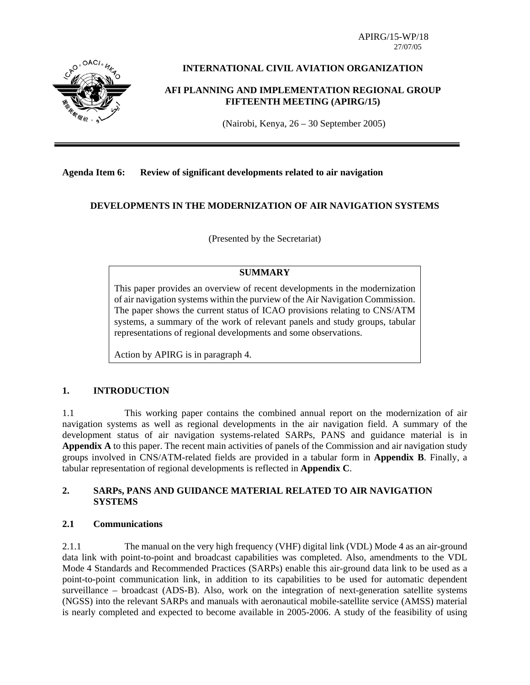APIRG/15-WP/18



## **INTERNATIONAL CIVIL AVIATION ORGANIZATION**

#### **AFI PLANNING AND IMPLEMENTATION REGIONAL GROUP FIFTEENTH MEETING (APIRG/15)**

(Nairobi, Kenya, 26 – 30 September 2005)

#### **Agenda Item 6: Review of significant developments related to air navigation**

#### **DEVELOPMENTS IN THE MODERNIZATION OF AIR NAVIGATION SYSTEMS**

(Presented by the Secretariat)

#### **SUMMARY**

This paper provides an overview of recent developments in the modernization of air navigation systems within the purview of the Air Navigation Commission. The paper shows the current status of ICAO provisions relating to CNS/ATM systems, a summary of the work of relevant panels and study groups, tabular representations of regional developments and some observations.

Action by APIRG is in paragraph 4.

#### **1. INTRODUCTION**

1.1 This working paper contains the combined annual report on the modernization of air navigation systems as well as regional developments in the air navigation field. A summary of the development status of air navigation systems-related SARPs, PANS and guidance material is in **Appendix A** to this paper. The recent main activities of panels of the Commission and air navigation study groups involved in CNS/ATM-related fields are provided in a tabular form in **Appendix B**. Finally, a tabular representation of regional developments is reflected in **Appendix C**.

### **2. SARPs, PANS AND GUIDANCE MATERIAL RELATED TO AIR NAVIGATION SYSTEMS**

#### **2.1 Communications**

2.1.1 The manual on the very high frequency (VHF) digital link (VDL) Mode 4 as an air-ground data link with point-to-point and broadcast capabilities was completed. Also, amendments to the VDL Mode 4 Standards and Recommended Practices (SARPs) enable this air-ground data link to be used as a point-to-point communication link, in addition to its capabilities to be used for automatic dependent surveillance – broadcast (ADS-B). Also, work on the integration of next-generation satellite systems (NGSS) into the relevant SARPs and manuals with aeronautical mobile-satellite service (AMSS) material is nearly completed and expected to become available in 2005-2006. A study of the feasibility of using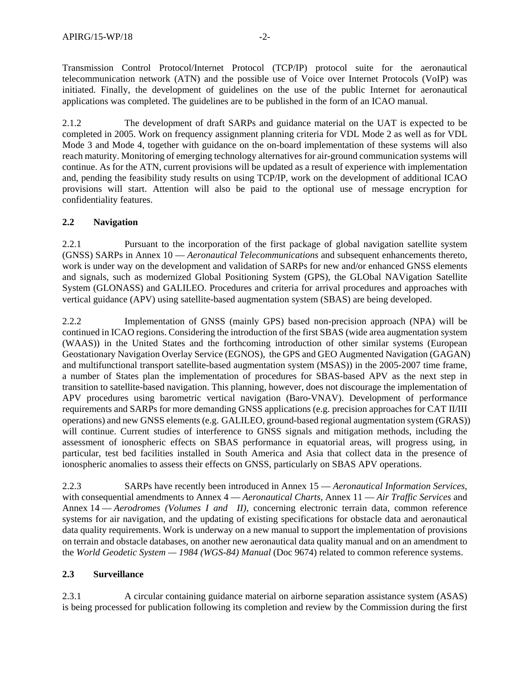Transmission Control Protocol/Internet Protocol (TCP/IP) protocol suite for the aeronautical telecommunication network (ATN) and the possible use of Voice over Internet Protocols (VoIP) was initiated. Finally, the development of guidelines on the use of the public Internet for aeronautical applications was completed. The guidelines are to be published in the form of an ICAO manual.

2.1.2 The development of draft SARPs and guidance material on the UAT is expected to be completed in 2005. Work on frequency assignment planning criteria for VDL Mode 2 as well as for VDL Mode 3 and Mode 4, together with guidance on the on-board implementation of these systems will also reach maturity. Monitoring of emerging technology alternatives for air-ground communication systems will continue. As for the ATN, current provisions will be updated as a result of experience with implementation and, pending the feasibility study results on using TCP/IP, work on the development of additional ICAO provisions will start. Attention will also be paid to the optional use of message encryption for confidentiality features.

## **2.2 Navigation**

2.2.1 Pursuant to the incorporation of the first package of global navigation satellite system (GNSS) SARPs in Annex 10 — *Aeronautical Telecommunications* and subsequent enhancements thereto, work is under way on the development and validation of SARPs for new and/or enhanced GNSS elements and signals, such as modernized Global Positioning System (GPS), the GLObal NAVigation Satellite System (GLONASS) and GALILEO. Procedures and criteria for arrival procedures and approaches with vertical guidance (APV) using satellite-based augmentation system (SBAS) are being developed.

2.2.2 Implementation of GNSS (mainly GPS) based non-precision approach (NPA) will be continued in ICAO regions. Considering the introduction of the first SBAS (wide area augmentation system (WAAS)) in the United States and the forthcoming introduction of other similar systems (European Geostationary Navigation Overlay Service (EGNOS), the GPS and GEO Augmented Navigation (GAGAN) and multifunctional transport satellite-based augmentation system (MSAS)) in the 2005-2007 time frame, a number of States plan the implementation of procedures for SBAS-based APV as the next step in transition to satellite-based navigation. This planning, however, does not discourage the implementation of APV procedures using barometric vertical navigation (Baro-VNAV). Development of performance requirements and SARPs for more demanding GNSS applications (e.g. precision approaches for CAT II/III operations) and new GNSS elements (e.g. GALILEO, ground-based regional augmentation system (GRAS)) will continue. Current studies of interference to GNSS signals and mitigation methods, including the assessment of ionospheric effects on SBAS performance in equatorial areas, will progress using, in particular, test bed facilities installed in South America and Asia that collect data in the presence of ionospheric anomalies to assess their effects on GNSS, particularly on SBAS APV operations.

2.2.3 SARPs have recently been introduced in Annex 15 — *Aeronautical Information Services*, with consequential amendments to Annex 4 — *Aeronautical Charts*, Annex 11 — *Air Traffic Services* and Annex 14 — *Aerodromes (Volumes I and II)*, concerning electronic terrain data, common reference systems for air navigation, and the updating of existing specifications for obstacle data and aeronautical data quality requirements. Work is underway on a new manual to support the implementation of provisions on terrain and obstacle databases, on another new aeronautical data quality manual and on an amendment to the *World Geodetic System — 1984 (WGS-84) Manual* (Doc 9674) related to common reference systems.

## **2.3 Surveillance**

2.3.1 A circular containing guidance material on airborne separation assistance system (ASAS) is being processed for publication following its completion and review by the Commission during the first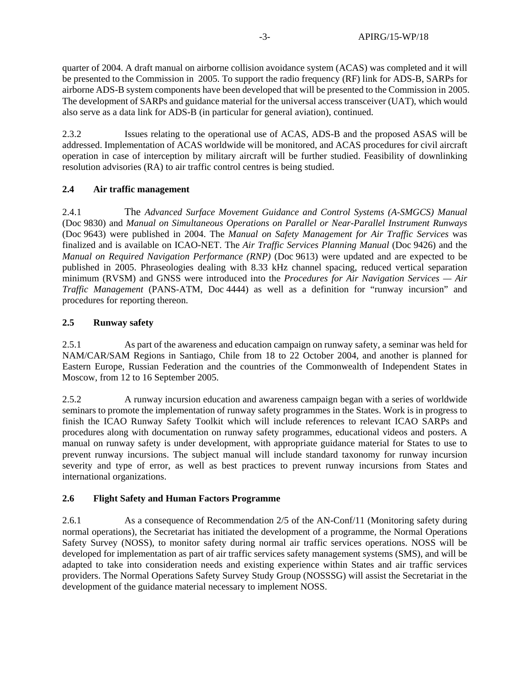quarter of 2004. A draft manual on airborne collision avoidance system (ACAS) was completed and it will be presented to the Commission in 2005. To support the radio frequency (RF) link for ADS-B, SARPs for airborne ADS-B system components have been developed that will be presented to the Commission in 2005. The development of SARPs and guidance material for the universal access transceiver (UAT), which would also serve as a data link for ADS-B (in particular for general aviation), continued.

2.3.2 Issues relating to the operational use of ACAS, ADS-B and the proposed ASAS will be addressed. Implementation of ACAS worldwide will be monitored, and ACAS procedures for civil aircraft operation in case of interception by military aircraft will be further studied. Feasibility of downlinking resolution advisories (RA) to air traffic control centres is being studied.

### **2.4 Air traffic management**

2.4.1 The *Advanced Surface Movement Guidance and Control Systems (A-SMGCS) Manual* (Doc 9830) and *Manual on Simultaneous Operations on Parallel or Near-Parallel Instrument Runways*  (Doc 9643) were published in 2004. The *Manual on Safety Management for Air Traffic Services* was finalized and is available on ICAO-NET. The *Air Traffic Services Planning Manual* (Doc 9426) and the *Manual on Required Navigation Performance (RNP)* (Doc 9613) were updated and are expected to be published in 2005. Phraseologies dealing with 8.33 kHz channel spacing, reduced vertical separation minimum (RVSM) and GNSS were introduced into the *Procedures for Air Navigation Services — Air Traffic Management* (PANS-ATM, Doc 4444) as well as a definition for "runway incursion" and procedures for reporting thereon.

### **2.5 Runway safety**

2.5.1 As part of the awareness and education campaign on runway safety, a seminar was held for NAM/CAR/SAM Regions in Santiago, Chile from 18 to 22 October 2004, and another is planned for Eastern Europe, Russian Federation and the countries of the Commonwealth of Independent States in Moscow, from 12 to 16 September 2005.

2.5.2 A runway incursion education and awareness campaign began with a series of worldwide seminars to promote the implementation of runway safety programmes in the States. Work is in progress to finish the ICAO Runway Safety Toolkit which will include references to relevant ICAO SARPs and procedures along with documentation on runway safety programmes, educational videos and posters. A manual on runway safety is under development, with appropriate guidance material for States to use to prevent runway incursions. The subject manual will include standard taxonomy for runway incursion severity and type of error, as well as best practices to prevent runway incursions from States and international organizations.

## **2.6 Flight Safety and Human Factors Programme**

2.6.1 As a consequence of Recommendation 2/5 of the AN-Conf/11 (Monitoring safety during normal operations), the Secretariat has initiated the development of a programme, the Normal Operations Safety Survey (NOSS), to monitor safety during normal air traffic services operations. NOSS will be developed for implementation as part of air traffic services safety management systems (SMS), and will be adapted to take into consideration needs and existing experience within States and air traffic services providers. The Normal Operations Safety Survey Study Group (NOSSSG) will assist the Secretariat in the development of the guidance material necessary to implement NOSS.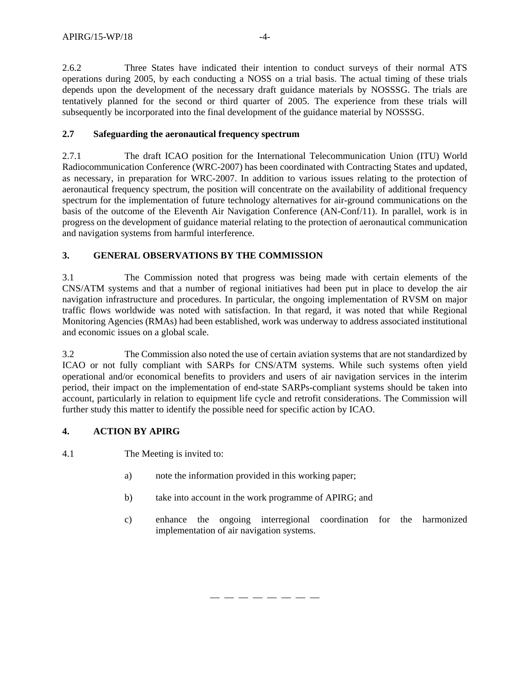2.6.2 Three States have indicated their intention to conduct surveys of their normal ATS operations during 2005, by each conducting a NOSS on a trial basis. The actual timing of these trials depends upon the development of the necessary draft guidance materials by NOSSSG. The trials are tentatively planned for the second or third quarter of 2005. The experience from these trials will subsequently be incorporated into the final development of the guidance material by NOSSSG.

### **2.7 Safeguarding the aeronautical frequency spectrum**

2.7.1 The draft ICAO position for the International Telecommunication Union (ITU) World Radiocommunication Conference (WRC-2007) has been coordinated with Contracting States and updated, as necessary, in preparation for WRC-2007. In addition to various issues relating to the protection of aeronautical frequency spectrum, the position will concentrate on the availability of additional frequency spectrum for the implementation of future technology alternatives for air-ground communications on the basis of the outcome of the Eleventh Air Navigation Conference (AN-Conf/11). In parallel, work is in progress on the development of guidance material relating to the protection of aeronautical communication and navigation systems from harmful interference.

## **3. GENERAL OBSERVATIONS BY THE COMMISSION**

3.1 The Commission noted that progress was being made with certain elements of the CNS/ATM systems and that a number of regional initiatives had been put in place to develop the air navigation infrastructure and procedures. In particular, the ongoing implementation of RVSM on major traffic flows worldwide was noted with satisfaction. In that regard, it was noted that while Regional Monitoring Agencies (RMAs) had been established, work was underway to address associated institutional and economic issues on a global scale.

3.2 The Commission also noted the use of certain aviation systems that are not standardized by ICAO or not fully compliant with SARPs for CNS/ATM systems. While such systems often yield operational and/or economical benefits to providers and users of air navigation services in the interim period, their impact on the implementation of end-state SARPs-compliant systems should be taken into account, particularly in relation to equipment life cycle and retrofit considerations. The Commission will further study this matter to identify the possible need for specific action by ICAO.

## **4. ACTION BY APIRG**

4.1 The Meeting is invited to:

- a) note the information provided in this working paper;
- b) take into account in the work programme of APIRG; and

— — — — — — — —

c) enhance the ongoing interregional coordination for the harmonized implementation of air navigation systems.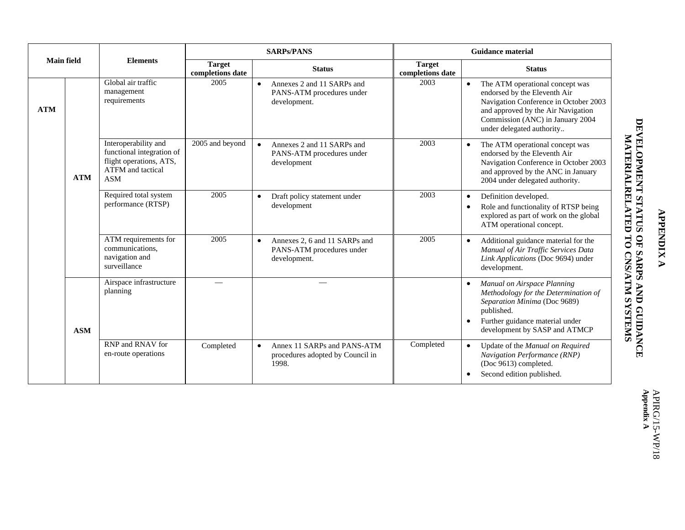| <b>Main field</b> |            |                                                                                                                        | <b>SARPs/PANS</b>                 |           |                                                                            | <b>Guidance material</b>          |                        |                                                                                                                                                                                                                 |  |
|-------------------|------------|------------------------------------------------------------------------------------------------------------------------|-----------------------------------|-----------|----------------------------------------------------------------------------|-----------------------------------|------------------------|-----------------------------------------------------------------------------------------------------------------------------------------------------------------------------------------------------------------|--|
|                   |            | <b>Elements</b>                                                                                                        | <b>Target</b><br>completions date |           | <b>Status</b>                                                              | <b>Target</b><br>completions date |                        | <b>Status</b>                                                                                                                                                                                                   |  |
| <b>ATM</b>        |            | Global air traffic<br>management<br>requirements                                                                       | 2005                              | $\bullet$ | Annexes 2 and 11 SARPs and<br>PANS-ATM procedures under<br>development.    | 2003                              | $\bullet$              | The ATM operational concept was<br>endorsed by the Eleventh Air<br>Navigation Conference in October 2003<br>and approved by the Air Navigation<br>Commission (ANC) in January 2004<br>under delegated authority |  |
|                   | <b>ATM</b> | Interoperability and<br>functional integration of<br>flight operations, ATS,<br><b>ATFM</b> and tactical<br><b>ASM</b> | 2005 and beyond                   | $\bullet$ | Annexes 2 and 11 SARPs and<br>PANS-ATM procedures under<br>development     | 2003                              |                        | The ATM operational concept was<br>endorsed by the Eleventh Air<br>Navigation Conference in October 2003<br>and approved by the ANC in January<br>2004 under delegated authority.                               |  |
|                   |            | Required total system<br>performance (RTSP)                                                                            | 2005                              | $\bullet$ | Draft policy statement under<br>development                                | 2003                              | $\bullet$<br>$\bullet$ | Definition developed.<br>Role and functionality of RTSP being<br>explored as part of work on the global<br>ATM operational concept.                                                                             |  |
|                   |            | ATM requirements for<br>communications,<br>navigation and<br>surveillance                                              | 2005                              | $\bullet$ | Annexes 2, 6 and 11 SARPs and<br>PANS-ATM procedures under<br>development. | 2005                              |                        | Additional guidance material for the<br>Manual of Air Traffic Services Data<br>Link Applications (Doc 9694) under<br>development.                                                                               |  |
|                   | <b>ASM</b> | Airspace infrastructure<br>planning                                                                                    | $\overline{\phantom{0}}$          |           |                                                                            |                                   |                        | Manual on Airspace Planning<br>Methodology for the Determination of<br>Separation Minima (Doc 9689)<br>published.<br>Further guidance material under<br>development by SASP and ATMCP                           |  |
|                   |            | RNP and RNAV for<br>en-route operations                                                                                | Completed                         | $\bullet$ | Annex 11 SARPs and PANS-ATM<br>procedures adopted by Council in<br>1998.   | Completed                         |                        | Update of the Manual on Required<br>Navigation Performance (RNP)<br>(Doc 9613) completed.<br>Second edition published.                                                                                          |  |

**APPENDIX A** 

**APPENDIX A**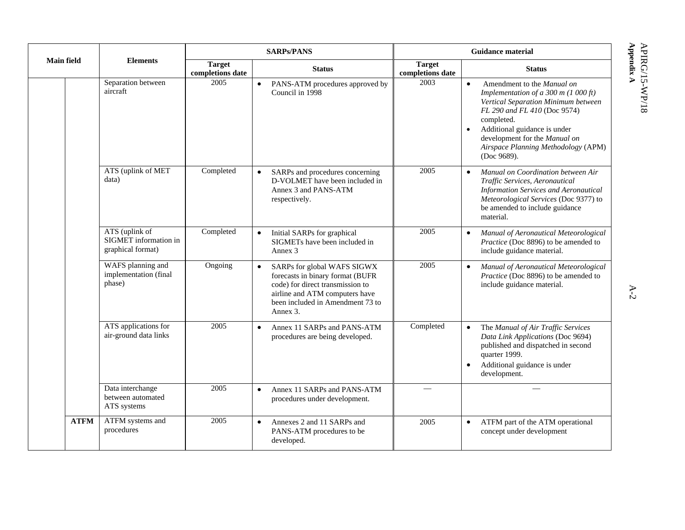|                   |                                                              |                                                    | <b>SARPs/PANS</b>                                                                                                                                                                     | <b>Guidance material</b>                                                                                                                                                                                                                                                                                         |  |
|-------------------|--------------------------------------------------------------|----------------------------------------------------|---------------------------------------------------------------------------------------------------------------------------------------------------------------------------------------|------------------------------------------------------------------------------------------------------------------------------------------------------------------------------------------------------------------------------------------------------------------------------------------------------------------|--|
| <b>Main field</b> | <b>Elements</b>                                              | <b>Target</b><br><b>Status</b><br>completions date |                                                                                                                                                                                       | <b>Target</b><br><b>Status</b><br>completions date                                                                                                                                                                                                                                                               |  |
|                   | Separation between<br>aircraft                               | 2005                                               | PANS-ATM procedures approved by<br>Council in 1998                                                                                                                                    | 2003<br>Amendment to the Manual on<br>$\bullet$<br>Implementation of a 300 m (1 000 ft)<br>Vertical Separation Minimum between<br>FL 290 and FL 410 (Doc 9574)<br>completed.<br>Additional guidance is under<br>$\bullet$<br>development for the Manual on<br>Airspace Planning Methodology (APM)<br>(Doc 9689). |  |
|                   | ATS (uplink of MET<br>data)                                  | Completed                                          | SARPs and procedures concerning<br>$\bullet$<br>D-VOLMET have been included in<br>Annex 3 and PANS-ATM<br>respectively.                                                               | 2005<br>Manual on Coordination between Air<br>$\bullet$<br>Traffic Services, Aeronautical<br><b>Information Services and Aeronautical</b><br>Meteorological Services (Doc 9377) to<br>be amended to include guidance<br>material.                                                                                |  |
|                   | ATS (uplink of<br>SIGMET information in<br>graphical format) | Completed                                          | Initial SARPs for graphical<br>$\bullet$<br>SIGMETs have been included in<br>Annex 3                                                                                                  | 2005<br>Manual of Aeronautical Meteorological<br>$\bullet$<br>Practice (Doc 8896) to be amended to<br>include guidance material.                                                                                                                                                                                 |  |
|                   | WAFS planning and<br>implementation (final<br>phase)         | Ongoing                                            | SARPs for global WAFS SIGWX<br>forecasts in binary format (BUFR<br>code) for direct transmission to<br>airline and ATM computers have<br>been included in Amendment 73 to<br>Annex 3. | 2005<br>Manual of Aeronautical Meteorological<br>$\bullet$<br>Practice (Doc 8896) to be amended to<br>include guidance material.                                                                                                                                                                                 |  |
|                   | ATS applications for<br>air-ground data links                | 2005                                               | Annex 11 SARPs and PANS-ATM<br>$\bullet$<br>procedures are being developed.                                                                                                           | Completed<br>The Manual of Air Traffic Services<br>$\bullet$<br>Data Link Applications (Doc 9694)<br>published and dispatched in second<br>quarter 1999.<br>Additional guidance is under<br>$\bullet$<br>development.                                                                                            |  |
|                   | Data interchange<br>between automated<br>ATS systems         | 2005                                               | Annex 11 SARPs and PANS-ATM<br>$\bullet$<br>procedures under development.                                                                                                             |                                                                                                                                                                                                                                                                                                                  |  |
| <b>ATFM</b>       | ATFM systems and<br>procedures                               | 2005                                               | Annexes 2 and 11 SARPs and<br>$\bullet$<br>PANS-ATM procedures to be<br>developed.                                                                                                    | ATFM part of the ATM operational<br>2005<br>$\bullet$<br>concept under development                                                                                                                                                                                                                               |  |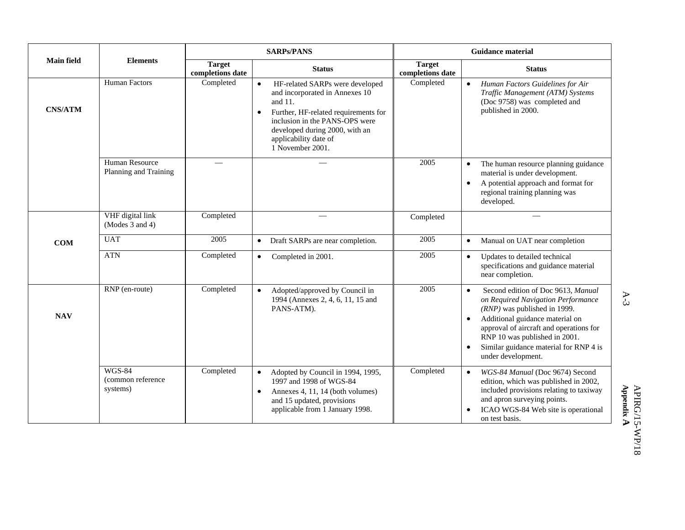| <b>Main field</b><br><b>Elements</b> |                                                |                                                    | <b>SARPs/PANS</b>                                                                                                                                                                                                                                               |                                   | <b>Guidance material</b>                                                                                                                                                                                                                                                                                            |  |  |
|--------------------------------------|------------------------------------------------|----------------------------------------------------|-----------------------------------------------------------------------------------------------------------------------------------------------------------------------------------------------------------------------------------------------------------------|-----------------------------------|---------------------------------------------------------------------------------------------------------------------------------------------------------------------------------------------------------------------------------------------------------------------------------------------------------------------|--|--|
|                                      |                                                | <b>Target</b><br><b>Status</b><br>completions date |                                                                                                                                                                                                                                                                 | <b>Target</b><br>completions date | <b>Status</b>                                                                                                                                                                                                                                                                                                       |  |  |
| <b>CNS/ATM</b>                       | <b>Human Factors</b>                           | Completed                                          | HF-related SARPs were developed<br>$\bullet$<br>and incorporated in Annexes 10<br>and 11.<br>Further, HF-related requirements for<br>$\bullet$<br>inclusion in the PANS-OPS were<br>developed during 2000, with an<br>applicability date of<br>1 November 2001. | Completed                         | Human Factors Guidelines for Air<br>$\bullet$<br>Traffic Management (ATM) Systems<br>(Doc 9758) was completed and<br>published in 2000.                                                                                                                                                                             |  |  |
|                                      | Human Resource<br>Planning and Training        |                                                    |                                                                                                                                                                                                                                                                 | 2005                              | The human resource planning guidance<br>$\bullet$<br>material is under development.<br>A potential approach and format for<br>$\bullet$<br>regional training planning was<br>developed.                                                                                                                             |  |  |
|                                      | VHF digital link<br>(Modes $3$ and $4$ )       | Completed                                          |                                                                                                                                                                                                                                                                 | Completed                         |                                                                                                                                                                                                                                                                                                                     |  |  |
| <b>COM</b>                           | <b>UAT</b>                                     | 2005                                               | Draft SARPs are near completion.<br>$\bullet$                                                                                                                                                                                                                   | 2005                              | Manual on UAT near completion<br>$\bullet$                                                                                                                                                                                                                                                                          |  |  |
|                                      | <b>ATN</b>                                     | Completed                                          | Completed in 2001.<br>$\bullet$                                                                                                                                                                                                                                 | 2005                              | Updates to detailed technical<br>specifications and guidance material<br>near completion.                                                                                                                                                                                                                           |  |  |
| <b>NAV</b>                           | RNP (en-route)                                 | Completed                                          | Adopted/approved by Council in<br>$\bullet$<br>1994 (Annexes 2, 4, 6, 11, 15 and<br>PANS-ATM).                                                                                                                                                                  | 2005                              | Second edition of Doc 9613, Manual<br>$\bullet$<br>on Required Navigation Performance<br>$(RNP)$ was published in 1999.<br>Additional guidance material on<br>$\bullet$<br>approval of aircraft and operations for<br>RNP 10 was published in 2001.<br>Similar guidance material for RNP 4 is<br>under development. |  |  |
|                                      | <b>WGS-84</b><br>(common reference<br>systems) | Completed                                          | Adopted by Council in 1994, 1995,<br>$\bullet$<br>1997 and 1998 of WGS-84<br>Annexes 4, 11, 14 (both volumes)<br>$\bullet$<br>and 15 updated, provisions<br>applicable from 1 January 1998.                                                                     | Completed                         | WGS-84 Manual (Doc 9674) Second<br>$\bullet$<br>edition, which was published in 2002,<br>included provisions relating to taxiway<br>and apron surveying points.<br>ICAO WGS-84 Web site is operational<br>on test basis.                                                                                            |  |  |

 A-3  $A-3$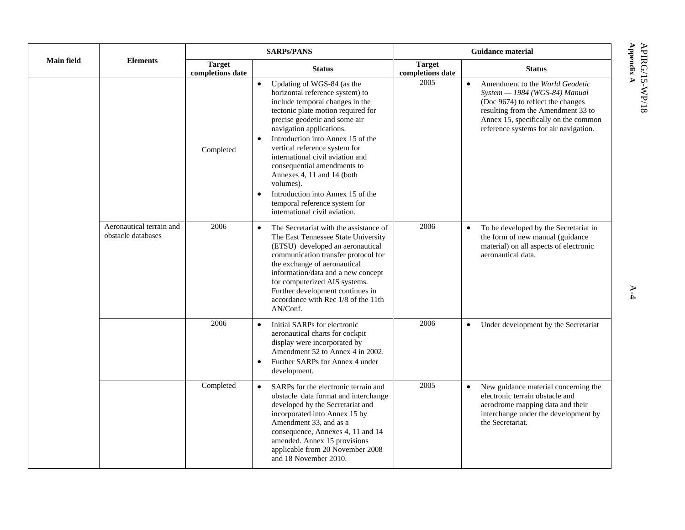|                   |                                                | <b>SARPs/PANS</b>                 |                                                                                                                                                                                                                                                                                                                                                                                                                                                                                                                          | <b>Guidance material</b>          |                                                                                                                                                                                                                                           |  |
|-------------------|------------------------------------------------|-----------------------------------|--------------------------------------------------------------------------------------------------------------------------------------------------------------------------------------------------------------------------------------------------------------------------------------------------------------------------------------------------------------------------------------------------------------------------------------------------------------------------------------------------------------------------|-----------------------------------|-------------------------------------------------------------------------------------------------------------------------------------------------------------------------------------------------------------------------------------------|--|
| <b>Main field</b> | <b>Elements</b>                                | <b>Target</b><br>completions date | <b>Status</b>                                                                                                                                                                                                                                                                                                                                                                                                                                                                                                            | <b>Target</b><br>completions date | <b>Status</b>                                                                                                                                                                                                                             |  |
|                   |                                                | Completed                         | Updating of WGS-84 (as the<br>horizontal reference system) to<br>include temporal changes in the<br>tectonic plate motion required for<br>precise geodetic and some air<br>navigation applications.<br>Introduction into Annex 15 of the<br>$\bullet$<br>vertical reference system for<br>international civil aviation and<br>consequential amendments to<br>Annexes 4, 11 and 14 (both<br>volumes).<br>Introduction into Annex 15 of the<br>$\bullet$<br>temporal reference system for<br>international civil aviation. | 2005                              | Amendment to the World Geodetic<br>$\bullet$<br>System - 1984 (WGS-84) Manual<br>(Doc 9674) to reflect the changes<br>resulting from the Amendment 33 to<br>Annex 15, specifically on the common<br>reference systems for air navigation. |  |
|                   | Aeronautical terrain and<br>obstacle databases | 2006                              | The Secretariat with the assistance of<br>$\bullet$<br>The East Tennessee State University<br>(ETSU) developed an aeronautical<br>communication transfer protocol for<br>the exchange of aeronautical<br>information/data and a new concept<br>for computerized AIS systems.<br>Further development continues in<br>accordance with Rec 1/8 of the 11th<br>AN/Conf.                                                                                                                                                      | 2006                              | To be developed by the Secretariat in<br>$\bullet$<br>the form of new manual (guidance<br>material) on all aspects of electronic<br>aeronautical data.                                                                                    |  |
|                   |                                                | 2006                              | Initial SARPs for electronic<br>$\bullet$<br>aeronautical charts for cockpit<br>display were incorporated by<br>Amendment 52 to Annex 4 in 2002.<br>Further SARPs for Annex 4 under<br>$\bullet$<br>development.                                                                                                                                                                                                                                                                                                         | 2006                              | Under development by the Secretariat<br>$\bullet$                                                                                                                                                                                         |  |
|                   |                                                | Completed                         | SARPs for the electronic terrain and<br>$\bullet$<br>obstacle data format and interchange<br>developed by the Secretariat and<br>incorporated into Annex 15 by<br>Amendment 33, and as a<br>consequence, Annexes 4, 11 and 14<br>amended. Annex 15 provisions<br>applicable from 20 November 2008<br>and 18 November 2010.                                                                                                                                                                                               | 2005                              | New guidance material concerning the<br>$\bullet$<br>electronic terrain obstacle and<br>aerodrome mapping data and their<br>interchange under the development by<br>the Secretariat.                                                      |  |

**Appe** APIRG/15-WP/18 **ndix A** 

A-4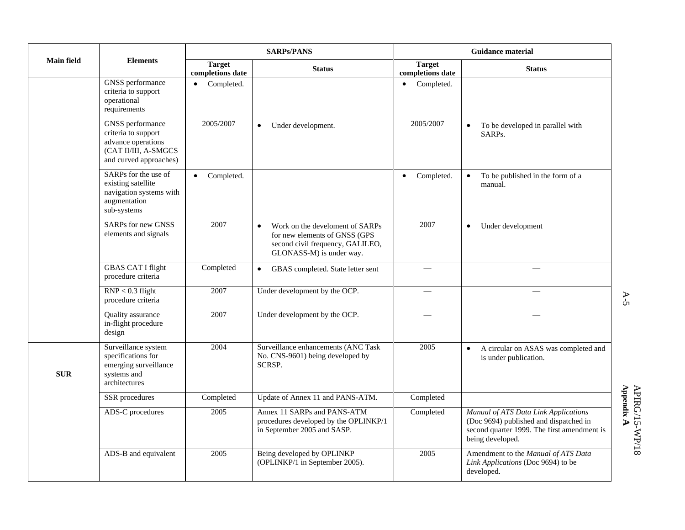|                   |                                                                                                                        |                                   | <b>SARPs/PANS</b>                                                                                                                             | <b>Guidance material</b>          |                                                                                                                                                   |
|-------------------|------------------------------------------------------------------------------------------------------------------------|-----------------------------------|-----------------------------------------------------------------------------------------------------------------------------------------------|-----------------------------------|---------------------------------------------------------------------------------------------------------------------------------------------------|
| <b>Main field</b> | <b>Elements</b>                                                                                                        | <b>Target</b><br>completions date | <b>Status</b>                                                                                                                                 | <b>Target</b><br>completions date | <b>Status</b>                                                                                                                                     |
|                   | <b>GNSS</b> performance<br>criteria to support<br>operational<br>requirements                                          | Completed.<br>$\bullet$           |                                                                                                                                               | Completed.                        |                                                                                                                                                   |
|                   | <b>GNSS</b> performance<br>criteria to support<br>advance operations<br>(CAT II/III, A-SMGCS<br>and curved approaches) | 2005/2007                         | Under development.<br>$\bullet$                                                                                                               | 2005/2007                         | To be developed in parallel with<br>SARPs.                                                                                                        |
|                   | SARPs for the use of<br>existing satellite<br>navigation systems with<br>augmentation<br>sub-systems                   | Completed.<br>$\bullet$           |                                                                                                                                               | Completed.<br>$\bullet$           | To be published in the form of a<br>manual.                                                                                                       |
|                   | <b>SARPs</b> for new GNSS<br>elements and signals                                                                      | 2007                              | Work on the develoment of SARPs<br>$\bullet$<br>for new elements of GNSS (GPS<br>second civil frequency, GALILEO,<br>GLONASS-M) is under way. | 2007                              | Under development<br>$\bullet$                                                                                                                    |
|                   | <b>GBAS CAT I flight</b><br>procedure criteria                                                                         | Completed                         | GBAS completed. State letter sent<br>$\bullet$                                                                                                |                                   |                                                                                                                                                   |
|                   | $RNP < 0.3$ flight<br>procedure criteria                                                                               | 2007                              | Under development by the OCP.                                                                                                                 | $\overline{\phantom{0}}$          |                                                                                                                                                   |
|                   | Quality assurance<br>in-flight procedure<br>design                                                                     | 2007                              | Under development by the OCP.                                                                                                                 |                                   |                                                                                                                                                   |
| <b>SUR</b>        | Surveillance system<br>specifications for<br>emerging surveillance<br>systems and<br>architectures                     | 2004                              | Surveillance enhancements (ANC Task<br>No. CNS-9601) being developed by<br>SCRSP.                                                             | 2005                              | A circular on ASAS was completed and<br>$\bullet$<br>is under publication.                                                                        |
|                   | <b>SSR</b> procedures                                                                                                  | Completed                         | Update of Annex 11 and PANS-ATM.                                                                                                              | Completed                         |                                                                                                                                                   |
|                   | ADS-C procedures                                                                                                       | 2005                              | Annex 11 SARPs and PANS-ATM<br>procedures developed by the OPLINKP/1<br>in September 2005 and SASP.                                           | Completed                         | Manual of ATS Data Link Applications<br>(Doc 9694) published and dispatched in<br>second quarter 1999. The first amendment is<br>being developed. |
|                   | ADS-B and equivalent                                                                                                   | 2005                              | Being developed by OPLINKP<br>(OPLINKP/1 in September 2005).                                                                                  | 2005                              | Amendment to the Manual of ATS Data<br>Link Applications (Doc 9694) to be<br>developed.                                                           |

 A-5  $A-5$ 

**Appendix**  APIRG/15-WP/18 **A**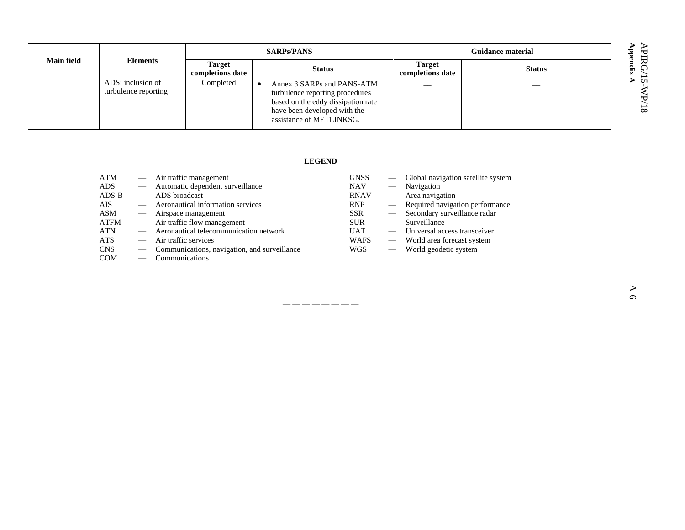**Appe** APIRG/15-WP/18 **ndix A** 

| <b>Main field</b> |                                           | <b>SARPs/PANS</b>                 |                                                                                                                                                                 | <b>Guidance material</b>          |               |  |
|-------------------|-------------------------------------------|-----------------------------------|-----------------------------------------------------------------------------------------------------------------------------------------------------------------|-----------------------------------|---------------|--|
|                   | <b>Elements</b>                           | <b>Target</b><br>completions date | <b>Status</b>                                                                                                                                                   | <b>Target</b><br>completions date | <b>Status</b> |  |
|                   | ADS: inclusion of<br>turbulence reporting | Completed                         | Annex 3 SARPs and PANS-ATM<br>turbulence reporting procedures<br>based on the eddy dissipation rate<br>have been developed with the<br>assistance of METLINKSG. |                                   |               |  |

#### **LEGEND**

— — — — — — — —

| ATM        |                               | — Air traffic management                     | <b>GNSS</b> | $\overline{\phantom{0}}$ | Global navigation satellite system |
|------------|-------------------------------|----------------------------------------------|-------------|--------------------------|------------------------------------|
| ADS.       | $\overbrace{\phantom{aaaaa}}$ | Automatic dependent surveillance             | <b>NAV</b>  | $\overline{\phantom{a}}$ | Navigation                         |
| $ADS-B$    |                               | ADS broadcast                                | <b>RNAV</b> |                          | $\equiv$ Area navigation           |
| <b>AIS</b> |                               | Aeronautical information services            | <b>RNP</b>  |                          | - Required navigation performance  |
| ASM        | $\overline{\phantom{0}}$      | Airspace management                          | <b>SSR</b>  |                          | - Secondary surveillance radar     |
| ATFM       |                               | — Air traffic flow management                | <b>SUR</b>  |                          | Surveillance                       |
| ATN        |                               | Aeronautical telecommunication network       | <b>UAT</b>  |                          | Universal access transceiver       |
| <b>ATS</b> |                               | Air traffic services                         | <b>WAFS</b> | $\overline{\phantom{a}}$ | World area forecast system         |
| <b>CNS</b> | $\overline{\phantom{0}}$      | Communications, navigation, and surveillance | <b>WGS</b>  |                          | World geodetic system              |
| <b>COM</b> |                               | Communications                               |             |                          |                                    |

A-6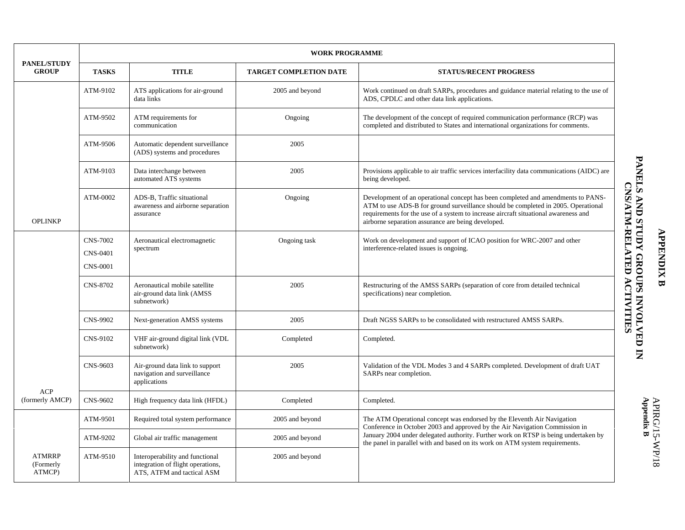|                                      |                                                       |                                                                                                    | <b>WORK PROGRAMME</b>         |                                                                                                                                                                                                                                                                                                                    |  |  |
|--------------------------------------|-------------------------------------------------------|----------------------------------------------------------------------------------------------------|-------------------------------|--------------------------------------------------------------------------------------------------------------------------------------------------------------------------------------------------------------------------------------------------------------------------------------------------------------------|--|--|
| <b>PANEL/STUDY</b><br><b>GROUP</b>   | <b>TASKS</b>                                          | <b>TITLE</b>                                                                                       | <b>TARGET COMPLETION DATE</b> | <b>STATUS/RECENT PROGRESS</b><br>CNS/ATM-RELATED<br>ACTIVITIES<br>Conference in October 2003 and approved by the Air Navigation Commission in                                                                                                                                                                      |  |  |
|                                      | ATM-9102                                              | ATS applications for air-ground<br>data links                                                      | 2005 and beyond               | Work continued on draft SARPs, procedures and guidance material relating to the use of<br>ADS, CPDLC and other data link applications.                                                                                                                                                                             |  |  |
|                                      | ATM-9502<br>ATM requirements for<br>communication     |                                                                                                    | Ongoing                       | The development of the concept of required communication performance (RCP) was<br>completed and distributed to States and international organizations for comments.                                                                                                                                                |  |  |
|                                      | ATM-9506                                              | Automatic dependent surveillance<br>(ADS) systems and procedures                                   | 2005                          |                                                                                                                                                                                                                                                                                                                    |  |  |
|                                      | ATM-9103                                              | Data interchange between<br>automated ATS systems                                                  | 2005                          | Provisions applicable to air traffic services interfacility data communications (AIDC) are<br>being developed.                                                                                                                                                                                                     |  |  |
| <b>OPLINKP</b>                       | ATM-0002                                              | ADS-B, Traffic situational<br>awareness and airborne separation<br>assurance                       | Ongoing                       | Development of an operational concept has been completed and amendments to PANS-<br>ATM to use ADS-B for ground surveillance should be completed in 2005. Operational<br>requirements for the use of a system to increase aircraft situational awareness and<br>airborne separation assurance are being developed. |  |  |
|                                      | <b>CNS-7002</b><br><b>CNS-0401</b><br><b>CNS-0001</b> | Aeronautical electromagnetic<br>spectrum                                                           | Ongoing task                  | Work on development and support of ICAO position for WRC-2007 and other<br>interference-related issues is ongoing.                                                                                                                                                                                                 |  |  |
|                                      | <b>CNS-8702</b>                                       | Aeronautical mobile satellite<br>air-ground data link (AMSS<br>subnetwork)                         | 2005                          | Restructuring of the AMSS SARPs (separation of core from detailed technical<br>specifications) near completion.                                                                                                                                                                                                    |  |  |
|                                      | <b>CNS-9902</b>                                       | Next-generation AMSS systems                                                                       | 2005                          | Draft NGSS SARPs to be consolidated with restructured AMSS SARPs.                                                                                                                                                                                                                                                  |  |  |
|                                      | CNS-9102                                              | VHF air-ground digital link (VDL<br>subnetwork)                                                    | Completed                     | Completed.                                                                                                                                                                                                                                                                                                         |  |  |
|                                      | CNS-9603                                              | Air-ground data link to support<br>navigation and surveillance<br>applications                     | 2005                          | Validation of the VDL Modes 3 and 4 SARPs completed. Development of draft UAT<br>SARPs near completion.                                                                                                                                                                                                            |  |  |
| <b>ACP</b><br>(formerly AMCP)        | CNS-9602                                              | High frequency data link (HFDL)                                                                    | Completed                     | Completed.                                                                                                                                                                                                                                                                                                         |  |  |
|                                      | ATM-9501                                              | Required total system performance                                                                  | 2005 and beyond               | The ATM Operational concept was endorsed by the Eleventh Air Navigation                                                                                                                                                                                                                                            |  |  |
|                                      | ATM-9202                                              | Global air traffic management                                                                      | 2005 and beyond               | January 2004 under delegated authority. Further work on RTSP is being undertaken by<br>the panel in parallel with and based on its work on ATM system requirements.                                                                                                                                                |  |  |
| <b>ATMRRP</b><br>(Formerly<br>ATMCP) | ATM-9510                                              | Interoperability and functional<br>integration of flight operations,<br>ATS, ATFM and tactical ASM | 2005 and beyond               |                                                                                                                                                                                                                                                                                                                    |  |  |

# **APPENDIX B APPENDIX B**

PANELS AND STUDY GROUPS INVOLVED IN THE REAL ORDER STAND STATES **PANELS AND STUDY GROUPS INVOLVED IN**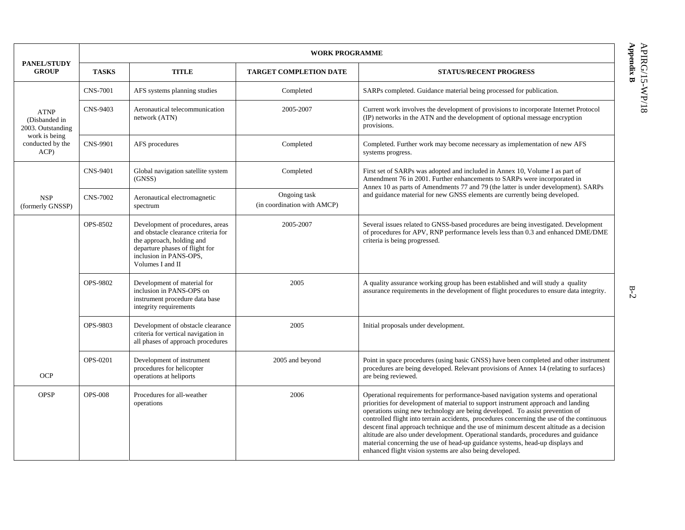|                                                                                                                                |                 | <b>WORK PROGRAMME</b>                                                                                                                                                                |                                             |                                                                                                                                                                                                                                                                                                                                                                                                                                                                                                                                                                                                                                                                                   |  |  |  |  |  |  |
|--------------------------------------------------------------------------------------------------------------------------------|-----------------|--------------------------------------------------------------------------------------------------------------------------------------------------------------------------------------|---------------------------------------------|-----------------------------------------------------------------------------------------------------------------------------------------------------------------------------------------------------------------------------------------------------------------------------------------------------------------------------------------------------------------------------------------------------------------------------------------------------------------------------------------------------------------------------------------------------------------------------------------------------------------------------------------------------------------------------------|--|--|--|--|--|--|
| <b>GROUP</b>                                                                                                                   | <b>TASKS</b>    | <b>TITLE</b>                                                                                                                                                                         | <b>TARGET COMPLETION DATE</b>               | <b>STATUS/RECENT PROGRESS</b>                                                                                                                                                                                                                                                                                                                                                                                                                                                                                                                                                                                                                                                     |  |  |  |  |  |  |
|                                                                                                                                | <b>CNS-7001</b> | AFS systems planning studies                                                                                                                                                         | Completed                                   | SARPs completed. Guidance material being processed for publication.                                                                                                                                                                                                                                                                                                                                                                                                                                                                                                                                                                                                               |  |  |  |  |  |  |
| <b>ATNP</b><br>(Disbanded in<br>2003. Outstanding                                                                              | CNS-9403        | Aeronautical telecommunication<br>network (ATN)                                                                                                                                      | 2005-2007                                   | Current work involves the development of provisions to incorporate Internet Protocol<br>(IP) networks in the ATN and the development of optional message encryption<br>provisions.                                                                                                                                                                                                                                                                                                                                                                                                                                                                                                |  |  |  |  |  |  |
| <b>PANEL/STUDY</b><br>work is being<br>conducted by the<br>ACP)<br><b>NSP</b><br>(formerly GNSSP)<br><b>OCP</b><br><b>OPSP</b> | <b>CNS-9901</b> | Completed<br>AFS procedures                                                                                                                                                          |                                             | Completed. Further work may become necessary as implementation of new AFS<br>systems progress.                                                                                                                                                                                                                                                                                                                                                                                                                                                                                                                                                                                    |  |  |  |  |  |  |
| CNS-9401                                                                                                                       |                 | Global navigation satellite system<br>(GNSS)                                                                                                                                         | Completed                                   | First set of SARPs was adopted and included in Annex 10, Volume I as part of<br>Amendment 76 in 2001. Further enhancements to SARPs were incorporated in<br>Annex 10 as parts of Amendments 77 and 79 (the latter is under development). SARPs                                                                                                                                                                                                                                                                                                                                                                                                                                    |  |  |  |  |  |  |
|                                                                                                                                | <b>CNS-7002</b> | Aeronautical electromagnetic<br>spectrum                                                                                                                                             | Ongoing task<br>(in coordination with AMCP) | and guidance material for new GNSS elements are currently being developed.                                                                                                                                                                                                                                                                                                                                                                                                                                                                                                                                                                                                        |  |  |  |  |  |  |
|                                                                                                                                | OPS-8502        | Development of procedures, areas<br>and obstacle clearance criteria for<br>the approach, holding and<br>departure phases of flight for<br>inclusion in PANS-OPS,<br>Volumes I and II | 2005-2007                                   | Several issues related to GNSS-based procedures are being investigated. Development<br>of procedures for APV, RNP performance levels less than 0.3 and enhanced DME/DME<br>criteria is being progressed.                                                                                                                                                                                                                                                                                                                                                                                                                                                                          |  |  |  |  |  |  |
|                                                                                                                                | OPS-9802        | Development of material for<br>inclusion in PANS-OPS on<br>instrument procedure data base<br>integrity requirements                                                                  | 2005                                        | A quality assurance working group has been established and will study a quality<br>assurance requirements in the development of flight procedures to ensure data integrity.                                                                                                                                                                                                                                                                                                                                                                                                                                                                                                       |  |  |  |  |  |  |
|                                                                                                                                | OPS-9803        | Development of obstacle clearance<br>criteria for vertical navigation in<br>all phases of approach procedures                                                                        | 2005                                        | Initial proposals under development.                                                                                                                                                                                                                                                                                                                                                                                                                                                                                                                                                                                                                                              |  |  |  |  |  |  |
|                                                                                                                                | <b>OPS-0201</b> | Development of instrument<br>procedures for helicopter<br>operations at heliports                                                                                                    | 2005 and beyond                             | Point in space procedures (using basic GNSS) have been completed and other instrument<br>procedures are being developed. Relevant provisions of Annex 14 (relating to surfaces)<br>are being reviewed.                                                                                                                                                                                                                                                                                                                                                                                                                                                                            |  |  |  |  |  |  |
|                                                                                                                                | <b>OPS-008</b>  | Procedures for all-weather<br>operations                                                                                                                                             | 2006                                        | Operational requirements for performance-based navigation systems and operational<br>priorities for development of material to support instrument approach and landing<br>operations using new technology are being developed. To assist prevention of<br>controlled flight into terrain accidents, procedures concerning the use of the continuous<br>descent final approach technique and the use of minimum descent altitude as a decision<br>altitude are also under development. Operational standards, procedures and guidance<br>material concerning the use of head-up guidance systems, head-up displays and<br>enhanced flight vision systems are also being developed. |  |  |  |  |  |  |

**Appe** APIRG/15-WP/18 **ndix B** 

B-2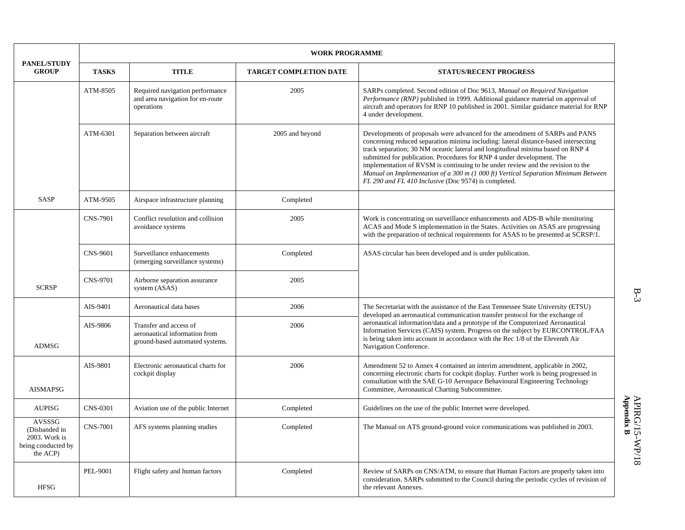|                                                                            | <b>WORK PROGRAMME</b> |                                                                                            |                               |                                                                                                                                                                                                                                                                                                                                                                                                                                                                                                                                                                 |  |  |  |  |
|----------------------------------------------------------------------------|-----------------------|--------------------------------------------------------------------------------------------|-------------------------------|-----------------------------------------------------------------------------------------------------------------------------------------------------------------------------------------------------------------------------------------------------------------------------------------------------------------------------------------------------------------------------------------------------------------------------------------------------------------------------------------------------------------------------------------------------------------|--|--|--|--|
| <b>PANEL/STUDY</b><br><b>GROUP</b>                                         | <b>TASKS</b>          | <b>TITLE</b>                                                                               | <b>TARGET COMPLETION DATE</b> | <b>STATUS/RECENT PROGRESS</b>                                                                                                                                                                                                                                                                                                                                                                                                                                                                                                                                   |  |  |  |  |
|                                                                            | ATM-8505              | Required navigation performance<br>and area navigation for en-route<br>operations          | 2005                          | SARPs completed. Second edition of Doc 9613, Manual on Required Navigation<br>Performance (RNP) published in 1999. Additional guidance material on approval of<br>aircraft and operators for RNP 10 published in 2001. Similar guidance material for RNP<br>4 under development.                                                                                                                                                                                                                                                                                |  |  |  |  |
|                                                                            | ATM-6301              | Separation between aircraft                                                                | 2005 and beyond               | Developments of proposals were advanced for the amendment of SARPs and PANS<br>concerning reduced separation minima including: lateral distance-based intersecting<br>track separation; 30 NM oceanic lateral and longitudinal minima based on RNP 4<br>submitted for publication. Procedures for RNP 4 under development. The<br>implementation of RVSM is continuing to be under review and the revision to the<br>Manual on Implementation of a 300 m (1 000 ft) Vertical Separation Minimum Between<br>FL 290 and FL 410 Inclusive (Doc 9574) is completed. |  |  |  |  |
| <b>SASP</b>                                                                | ATM-9505              | Airspace infrastructure planning                                                           | Completed                     |                                                                                                                                                                                                                                                                                                                                                                                                                                                                                                                                                                 |  |  |  |  |
|                                                                            | <b>CNS-7901</b>       | Conflict resolution and collision<br>avoidance systems                                     | 2005                          | Work is concentrating on surveillance enhancements and ADS-B while monitoring<br>ACAS and Mode S implementation in the States. Activities on ASAS are progressing<br>with the preparation of technical requirements for ASAS to be presented at SCRSP/1.                                                                                                                                                                                                                                                                                                        |  |  |  |  |
|                                                                            | <b>CNS-9601</b>       | Surveillance enhancements<br>(emerging surveillance systems)                               | Completed                     | ASAS circular has been developed and is under publication.                                                                                                                                                                                                                                                                                                                                                                                                                                                                                                      |  |  |  |  |
| <b>SCRSP</b>                                                               | <b>CNS-9701</b>       | Airborne separation assurance<br>system (ASAS)                                             | 2005                          |                                                                                                                                                                                                                                                                                                                                                                                                                                                                                                                                                                 |  |  |  |  |
|                                                                            | AIS-9401              | Aeronautical data bases                                                                    | 2006                          | The Secretariat with the assistance of the East Tennessee State University (ETSU)<br>developed an aeronautical communication transfer protocol for the exchange of                                                                                                                                                                                                                                                                                                                                                                                              |  |  |  |  |
| <b>ADMSG</b>                                                               | AIS-9806              | Transfer and access of<br>aeronautical information from<br>ground-based automated systems. | 2006                          | aeronautical information/data and a prototype of the Computerized Aeronautical<br>Information Services (CAIS) system. Progress on the subject by EURCONTROL/FAA<br>is being taken into account in accordance with the Rec 1/8 of the Eleventh Air<br>Navigation Conference.                                                                                                                                                                                                                                                                                     |  |  |  |  |
| <b>AISMAPSG</b>                                                            | AIS-9801              | Electronic aeronautical charts for<br>cockpit display                                      | 2006                          | Amendment 52 to Annex 4 contained an interim amendment, applicable in 2002,<br>concerning electronic charts for cockpit display. Further work is being progressed in<br>consultation with the SAE G-10 Aerospace Behavioural Engineering Technology<br>Committee, Aeronautical Charting Subcommittee.                                                                                                                                                                                                                                                           |  |  |  |  |
| <b>AUPISG</b>                                                              | <b>CNS-0301</b>       | Aviation use of the public Internet                                                        | Completed                     | Guidelines on the use of the public Internet were developed.                                                                                                                                                                                                                                                                                                                                                                                                                                                                                                    |  |  |  |  |
| AVSSSG<br>(Disbanded in<br>2003. Work is<br>being conducted by<br>the ACP) | <b>CNS-7001</b>       | AFS systems planning studies                                                               | Completed                     | The Manual on ATS ground-ground voice communications was published in 2003.                                                                                                                                                                                                                                                                                                                                                                                                                                                                                     |  |  |  |  |
| <b>HFSG</b>                                                                | PEL-9001              | Flight safety and human factors                                                            | Completed                     | Review of SARPs on CNS/ATM, to ensure that Human Factors are properly taken into<br>consideration. SARPs submitted to the Council during the periodic cycles of revision of<br>the relevant Annexes.                                                                                                                                                                                                                                                                                                                                                            |  |  |  |  |

B-3  $B-3$ 

 ${\bf APIRG/15\text{-}WD/18} \\ {\bf Appendix~B}$ **Appendix B** APIRG/15-WP/18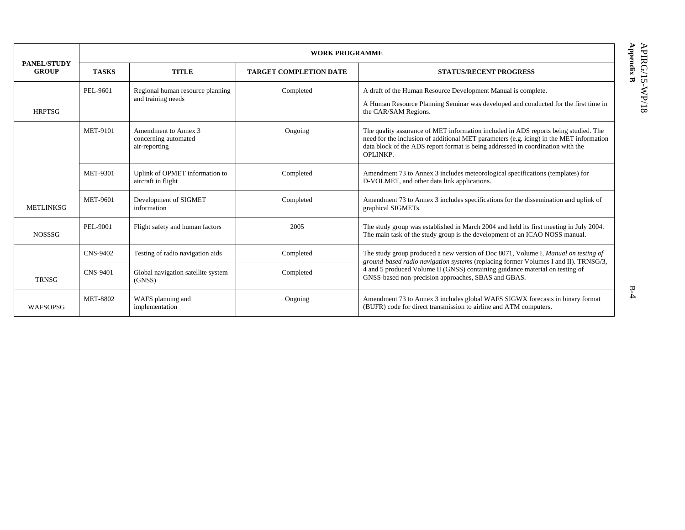**WORK PROGRAMME PANEL/STUDY GROUP TASKS TITLE TARGET COMPLETION DATE STATUS/RECENT PROGRESS** HRPTSG PEL-9601 Regional human resource planning and training needs Completed A draft of the Human Resource Development Manual is complete. A Human Resource Planning Seminar was developed and conducted for the first time in the CAR/SAM Regions. MET-9101 Amendment to Annex 3 concerning automated air-reporting Ongoing The quality assurance of MET information included in ADS reports being studied. The need for the inclusion of additional MET parameters (e.g. icing) in the MET information data block of the ADS report format is being addressed in coordination with the OPLINKP. MET-9301 Uplink of OPMET information to aircraft in flight Completed Amendment 73 to Annex 3 includes meteorological specifications (templates) for D-VOLMET, and other data link applications. **METLINKSG** MET-9601 Development of SIGMET information Completed Amendment 73 to Annex 3 includes specifications for the dissemination and uplink of graphical SIGMETs. NOSSSG PEL-9001 Flight safety and human factors 2005 2005 The study group was established in March 2004 and held its first meeting in July 2004. The main task of the study group is the development of an ICAO NOSS manual. CNS-9402 Testing of radio navigation aids Completed **TRNSG** CNS-9401 Global navigation satellite system (GNSS) Completed The study group produced a new version of Doc 8071, Volume I, *Manual on testing of ground-based radio navigation systems* (replacing former Volumes I and II). TRNSG/3, 4 and 5 produced Volume II (GNSS) containing guidance material on testing of GNSS-based non-precision approaches, SBAS and GBAS. WAFSOPSG MET-8802 WAFS planning and implementation Ongoing Amendment 73 to Annex 3 includes global WAFS SIGWX forecasts in binary format (BUFR) code for direct transmission to airline and ATM computers.

B-4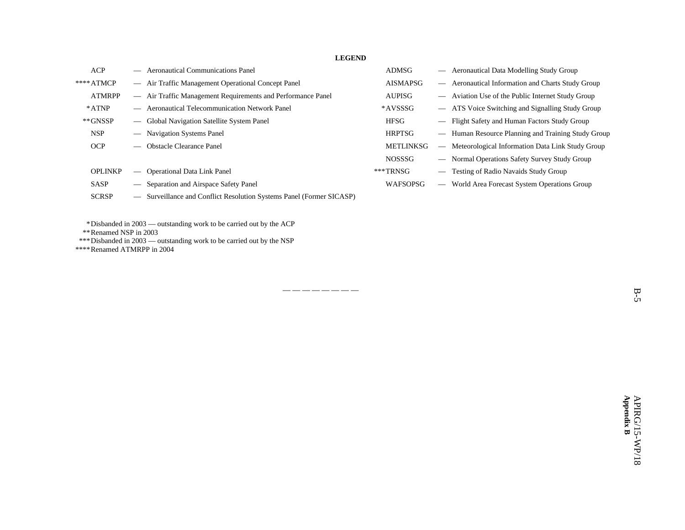**LEGEND** 

| <b>ACP</b>                         | <b>Aeronautical Communications Panel</b>                             | <b>ADMSG</b>     | Aeronautical Data Modelling Study Group                                      |
|------------------------------------|----------------------------------------------------------------------|------------------|------------------------------------------------------------------------------|
| $***ATMCP$                         | - Air Traffic Management Operational Concept Panel                   | <b>AISMAPSG</b>  | Aeronautical Information and Charts Study Group<br>$\overline{\phantom{0}}$  |
| <b>ATMRPP</b>                      | - Air Traffic Management Requirements and Performance Panel          | <b>AUPISG</b>    | Aviation Use of the Public Internet Study Group<br>$\overline{\phantom{a}}$  |
| $*ATNP$                            | — Aeronautical Telecommunication Network Panel                       | *AVSSSG          | - ATS Voice Switching and Signalling Study Group                             |
| $*$ <sup><math>G</math></sup> NSSP | - Global Navigation Satellite System Panel                           | HFSG             | Flight Safety and Human Factors Study Group                                  |
| <b>NSP</b>                         | - Navigation Systems Panel                                           | <b>HRPTSG</b>    | Human Resource Planning and Training Study Group                             |
| <b>OCP</b>                         | — Obstacle Clearance Panel                                           | <b>METLINKSG</b> | Meteorological Information Data Link Study Group<br>$\overline{\phantom{m}}$ |
|                                    |                                                                      | <b>NOSSSG</b>    | — Normal Operations Safety Survey Study Group                                |
| <b>OPLINKP</b>                     | <b>Operational Data Link Panel</b><br>$\overline{\phantom{m}}$       | $***TRNSG$       | Testing of Radio Navaids Study Group                                         |
| <b>SASP</b>                        | - Separation and Airspace Safety Panel                               | WAFSOPSG         | World Area Forecast System Operations Group                                  |
| <b>SCRSP</b>                       | - Surveillance and Conflict Resolution Systems Panel (Former SICASP) |                  |                                                                              |

— — — — — — — —

\*Disbanded in 2003 — outstanding work to be carried out by the ACP

\*\*Renamed NSP in 2003

\*\*\*Disbanded in 2003 — outstanding work to be carried out by the NSP

\*\*\*\*Renamed ATMRPP in 2004

B-5

 $\mathbf{B}\text{-}\mathbf{S}$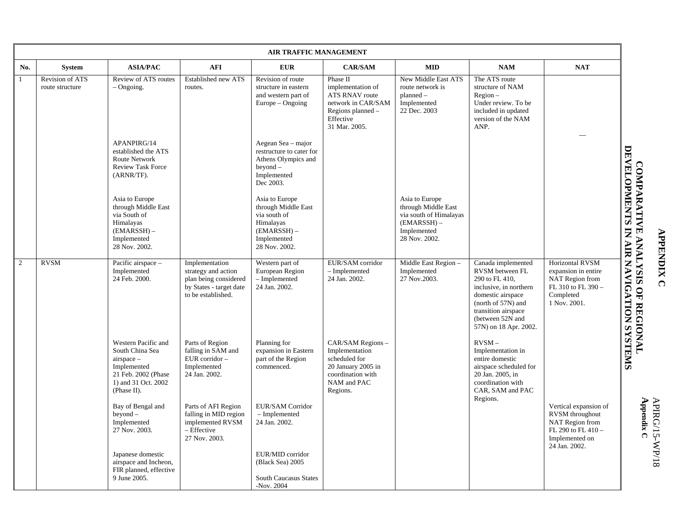|                | <b>AIR TRAFFIC MANAGEMENT</b>      |                                                                                                                                    |                                                                                                                 |                                                                                                                     |                                                                                                                                 |                                                                                                                  |                                                                                                                                                                                                  |                                                                                                                      |                                                 |
|----------------|------------------------------------|------------------------------------------------------------------------------------------------------------------------------------|-----------------------------------------------------------------------------------------------------------------|---------------------------------------------------------------------------------------------------------------------|---------------------------------------------------------------------------------------------------------------------------------|------------------------------------------------------------------------------------------------------------------|--------------------------------------------------------------------------------------------------------------------------------------------------------------------------------------------------|----------------------------------------------------------------------------------------------------------------------|-------------------------------------------------|
| No.            | <b>System</b>                      | <b>ASIA/PAC</b>                                                                                                                    | <b>AFI</b>                                                                                                      | <b>EUR</b>                                                                                                          | <b>CAR/SAM</b>                                                                                                                  | <b>MID</b>                                                                                                       | NAM                                                                                                                                                                                              | <b>NAT</b>                                                                                                           |                                                 |
| 1              | Revision of ATS<br>route structure | Review of ATS routes<br>$-$ Ongoing.                                                                                               | <b>Established new ATS</b><br>routes.                                                                           | Revision of route<br>structure in eastern<br>and western part of<br>Europe – Ongoing                                | Phase II<br>implementation of<br><b>ATS RNAV route</b><br>network in CAR/SAM<br>Regions planned –<br>Effective<br>31 Mar. 2005. | New Middle East ATS<br>route network is<br>$planned -$<br>Implemented<br>22 Dec. 2003                            | The ATS route<br>structure of NAM<br>$Region -$<br>Under review. To be<br>included in updated<br>version of the NAM<br>ANP.                                                                      |                                                                                                                      |                                                 |
|                |                                    | APANPIRG/14<br>established the ATS<br><b>Route Network</b><br><b>Review Task Force</b><br>(ARNR/TF).                               |                                                                                                                 | Aegean Sea - major<br>restructure to cater for<br>Athens Olympics and<br>$beyond -$<br>Implemented<br>Dec 2003.     |                                                                                                                                 |                                                                                                                  |                                                                                                                                                                                                  |                                                                                                                      |                                                 |
|                |                                    | Asia to Europe<br>through Middle East<br>via South of<br>Himalayas<br>$(EMARSSH) -$<br>Implemented<br>28 Nov. 2002.                |                                                                                                                 | Asia to Europe<br>through Middle East<br>via south of<br>Himalayas<br>$(EMARSSH) -$<br>Implemented<br>28 Nov. 2002. |                                                                                                                                 | Asia to Europe<br>through Middle East<br>via south of Himalayas<br>$(EMARSSH)$ –<br>Implemented<br>28 Nov. 2002. |                                                                                                                                                                                                  |                                                                                                                      |                                                 |
| $\overline{2}$ | <b>RVSM</b>                        | Pacific airspace -<br>Implemented<br>24 Feb. 2000.                                                                                 | Implementation<br>strategy and action<br>plan being considered<br>by States - target date<br>to be established. | Western part of<br>European Region<br>- Implemented<br>24 Jan. 2002.                                                | EUR/SAM corridor<br>- Implemented<br>24 Jan. 2002.                                                                              | Middle East Region -<br>Implemented<br>27 Nov.2003.                                                              | Canada implemented<br>RVSM between FL<br>290 to FL 410,<br>inclusive, in northern<br>domestic airspace<br>(north of 57N) and<br>transition airspace<br>(between 52N and<br>57N) on 18 Apr. 2002. | <b>Horizontal RVSM</b><br>expansion in entire<br>NAT Region from<br>FL 310 to FL 390 -<br>Completed<br>1 Nov. 2001.  | <b>COMPARATIVE ANALYSIS OF REGIONAL LABORAL</b> |
|                |                                    | Western Pacific and<br>South China Sea<br>$airspace -$<br>Implemented<br>21 Feb. 2002 (Phase<br>1) and 31 Oct. 2002<br>(Phase II). | Parts of Region<br>falling in SAM and<br>EUR corridor -<br>Implemented<br>24 Jan. 2002.                         | Planning for<br>expansion in Eastern<br>part of the Region<br>commenced.                                            | CAR/SAM Regions -<br>Implementation<br>scheduled for<br>20 January 2005 in<br>coordination with<br>NAM and PAC<br>Regions.      |                                                                                                                  | $RVSM -$<br>Implementation in<br>entire domestic<br>airspace scheduled for<br>20 Jan. 2005, in<br>coordination with<br>CAR. SAM and PAC                                                          |                                                                                                                      |                                                 |
|                |                                    | Bay of Bengal and<br>$bevod -$<br>Implemented<br>27 Nov. 2003.                                                                     | Parts of AFI Region<br>falling in MID region<br>implemented RVSM<br>- Effective<br>27 Nov. 2003.                | EUR/SAM Corridor<br>- Implemented<br>24 Jan. 2002.                                                                  |                                                                                                                                 |                                                                                                                  | Regions.                                                                                                                                                                                         | Vertical expansion of<br>RVSM throughout<br>NAT Region from<br>FL 290 to FL 410 -<br>Implemented on<br>24 Jan. 2002. | wmraddw<br>$\epsilon$                           |
|                |                                    | Japanese domestic<br>airspace and Incheon,<br>FIR planned, effective<br>9 June 2005.                                               |                                                                                                                 | EUR/MID corridor<br>(Black Sea) 2005<br><b>South Caucasus States</b><br>-Nov. $2004$                                |                                                                                                                                 |                                                                                                                  |                                                                                                                                                                                                  |                                                                                                                      |                                                 |

**APPENDIX C APPENDIX C** 

**A ppendix C**  APIRG/15-WP/18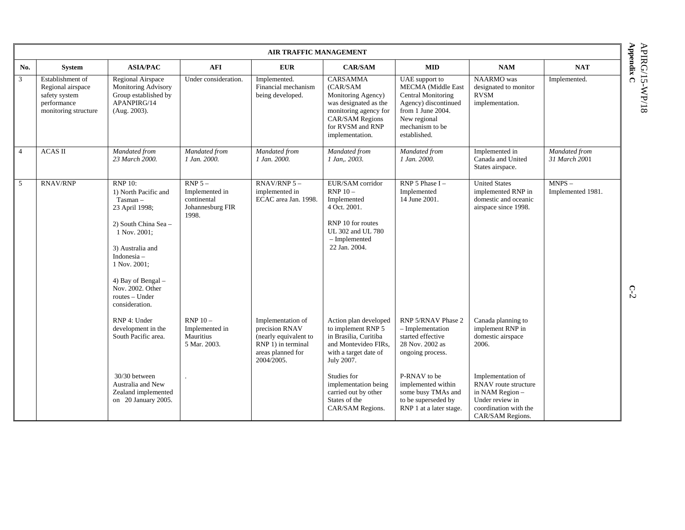|                |                                                                                               |                                                                                                                                                                                                                                                        |                                                                         | <b>AIR TRAFFIC MANAGEMENT</b>                                                                                         |                                                                                                                                                                      |                                                                                                                                                                          |                                                                                                                              |                                |
|----------------|-----------------------------------------------------------------------------------------------|--------------------------------------------------------------------------------------------------------------------------------------------------------------------------------------------------------------------------------------------------------|-------------------------------------------------------------------------|-----------------------------------------------------------------------------------------------------------------------|----------------------------------------------------------------------------------------------------------------------------------------------------------------------|--------------------------------------------------------------------------------------------------------------------------------------------------------------------------|------------------------------------------------------------------------------------------------------------------------------|--------------------------------|
| No.            | <b>System</b>                                                                                 | <b>ASIA/PAC</b>                                                                                                                                                                                                                                        | <b>AFI</b>                                                              | <b>EUR</b>                                                                                                            | <b>CAR/SAM</b>                                                                                                                                                       | <b>MID</b>                                                                                                                                                               | NAM                                                                                                                          | <b>NAT</b>                     |
| 3              | Establishment of<br>Regional airspace<br>safety system<br>performance<br>monitoring structure | Regional Airspace<br><b>Monitoring Advisory</b><br>Group established by<br>APANPIRG/14<br>(Aug. 2003).                                                                                                                                                 | Under consideration.                                                    | Implemented.<br>Financial mechanism<br>being developed.                                                               | <b>CARSAMMA</b><br>(CAR/SAM<br>Monitoring Agency)<br>was designated as the<br>monitoring agency for<br><b>CAR/SAM Regions</b><br>for RVSM and RNP<br>implementation. | <b>UAE</b> support to<br><b>MECMA</b> (Middle East<br>Central Monitoring<br>Agency) discontinued<br>from 1 June 2004.<br>New regional<br>mechanism to be<br>established. | NAARMO was<br>designated to monitor<br><b>RVSM</b><br>implementation.                                                        | Implemented.                   |
| $\overline{4}$ | <b>ACAS II</b>                                                                                | Mandated from<br>23 March 2000.                                                                                                                                                                                                                        | Mandated from<br>1 Jan. 2000.                                           | Mandated from<br>1 Jan. 2000.                                                                                         | Mandated from<br>1 Jan, 2003.                                                                                                                                        | Mandated from<br>1 Jan. 2000.                                                                                                                                            | Implemented in<br>Canada and United<br>States airspace.                                                                      | Mandated from<br>31 March 2001 |
| 5              | <b>RNAV/RNP</b>                                                                               | <b>RNP 10:</b><br>1) North Pacific and<br>T <sub>asman</sub><br>23 April 1998;<br>2) South China Sea -<br>1 Nov. 2001;<br>3) Australia and<br>Indonesia-<br>1 Nov. 2001;<br>4) Bay of Bengal -<br>Nov. 2002. Other<br>routes - Under<br>consideration. | $RNP 5 -$<br>Implemented in<br>continental<br>Johannesburg FIR<br>1998. | RNAV/RNP $5 -$<br>implemented in<br>ECAC area Jan. 1998.                                                              | EUR/SAM corridor<br>$RNP 10 -$<br>Implemented<br>4 Oct. 2001.<br>RNP 10 for routes<br>UL 302 and UL 780<br>- Implemented<br>22 Jan. 2004.                            | RNP 5 Phase $I -$<br>Implemented<br>14 June 2001.                                                                                                                        | <b>United States</b><br>implemented RNP in<br>domestic and oceanic<br>airspace since 1998.                                   | $MNPS -$<br>Implemented 1981.  |
|                |                                                                                               | RNP 4: Under<br>development in the<br>South Pacific area.                                                                                                                                                                                              | $RNP 10-$<br>Implemented in<br>Mauritius<br>5 Mar. 2003.                | Implementation of<br>precision RNAV<br>(nearly equivalent to<br>RNP 1) in terminal<br>areas planned for<br>2004/2005. | Action plan developed<br>to implement RNP 5<br>in Brasilia, Curitiba<br>and Montevideo FIRs,<br>with a target date of<br>July 2007.                                  | RNP 5/RNAV Phase 2<br>$-$ Implementation<br>started effective<br>28 Nov. 2002 as<br>ongoing process.                                                                     | Canada planning to<br>implement RNP in<br>domestic airspace<br>2006.                                                         |                                |
|                |                                                                                               | 30/30 between<br>Australia and New<br>Zealand implemented<br>on 20 January 2005.                                                                                                                                                                       |                                                                         |                                                                                                                       | Studies for<br>implementation being<br>carried out by other<br>States of the<br>CAR/SAM Regions.                                                                     | P-RNAV to be<br>implemented within<br>some busy TMAs and<br>to be superseded by<br>RNP 1 at a later stage.                                                               | Implementation of<br>RNAV route structure<br>in NAM Region -<br>Under review in<br>coordination with the<br>CAR/SAM Regions. |                                |

**Appe** APIRG/15-WP/18 **ndix C** 

**C**-2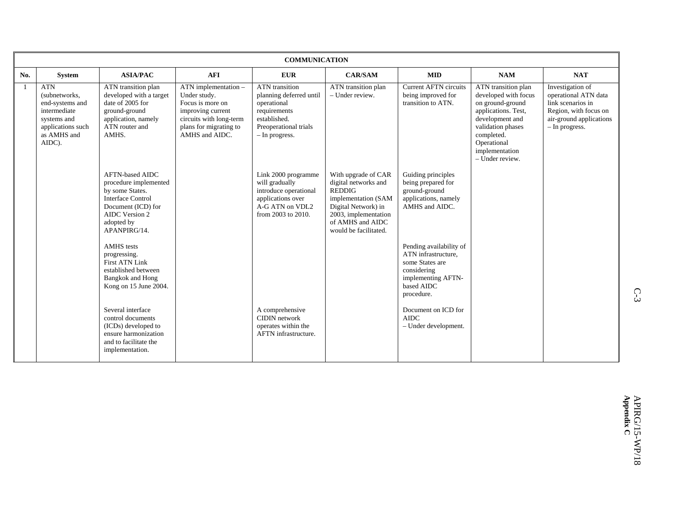|     |                                                                                                                             |                                                                                                                                                                             |                                                                                                                                                          | <b>COMMUNICATION</b>                                                                                                                |                                                                                                                                                                                 |                                                                                                                                    |                                                                                                                                                                                                  |                                                                                                                                     |
|-----|-----------------------------------------------------------------------------------------------------------------------------|-----------------------------------------------------------------------------------------------------------------------------------------------------------------------------|----------------------------------------------------------------------------------------------------------------------------------------------------------|-------------------------------------------------------------------------------------------------------------------------------------|---------------------------------------------------------------------------------------------------------------------------------------------------------------------------------|------------------------------------------------------------------------------------------------------------------------------------|--------------------------------------------------------------------------------------------------------------------------------------------------------------------------------------------------|-------------------------------------------------------------------------------------------------------------------------------------|
| No. | <b>System</b>                                                                                                               | <b>ASIA/PAC</b>                                                                                                                                                             | <b>AFI</b>                                                                                                                                               | <b>EUR</b>                                                                                                                          | <b>CAR/SAM</b>                                                                                                                                                                  | <b>MID</b>                                                                                                                         | <b>NAM</b>                                                                                                                                                                                       | <b>NAT</b>                                                                                                                          |
|     | <b>ATN</b><br>(subnetworks,<br>end-systems and<br>intermediate<br>systems and<br>applications such<br>as AMHS and<br>AIDC). | ATN transition plan<br>developed with a target<br>date of 2005 for<br>ground-ground<br>application, namely<br>ATN router and<br>AMHS.                                       | $ATN$ implementation $-$<br>Under study.<br>Focus is more on<br>improving current<br>circuits with long-term<br>plans for migrating to<br>AMHS and AIDC. | ATN transition<br>planning deferred until<br>operational<br>requirements<br>established.<br>Preoperational trials<br>- In progress. | ATN transition plan<br>- Under review.                                                                                                                                          | <b>Current AFTN circuits</b><br>being improved for<br>transition to ATN.                                                           | ATN transition plan<br>developed with focus<br>on ground-ground<br>applications. Test,<br>development and<br>validation phases<br>completed.<br>Operational<br>implementation<br>- Under review. | Investigation of<br>operational ATN data<br>link scenarios in<br>Region, with focus on<br>air-ground applications<br>- In progress. |
|     |                                                                                                                             | <b>AFTN-based AIDC</b><br>procedure implemented<br>by some States.<br><b>Interface Control</b><br>Document (ICD) for<br><b>AIDC</b> Version 2<br>adopted by<br>APANPIRG/14. |                                                                                                                                                          | Link 2000 programme<br>will gradually<br>introduce operational<br>applications over<br>A-G ATN on VDL2<br>from 2003 to 2010.        | With upgrade of CAR<br>digital networks and<br><b>REDDIG</b><br>implementation (SAM<br>Digital Network) in<br>2003, implementation<br>of AMHS and AIDC<br>would be facilitated. | Guiding principles<br>being prepared for<br>ground-ground<br>applications, namely<br>AMHS and AIDC.                                |                                                                                                                                                                                                  |                                                                                                                                     |
|     |                                                                                                                             | <b>AMHS</b> tests<br>progressing.<br><b>First ATN Link</b><br>established between<br>Bangkok and Hong<br>Kong on 15 June 2004.                                              |                                                                                                                                                          |                                                                                                                                     |                                                                                                                                                                                 | Pending availability of<br>ATN infrastructure.<br>some States are<br>considering<br>implementing AFTN-<br>based AIDC<br>procedure. |                                                                                                                                                                                                  |                                                                                                                                     |
|     |                                                                                                                             | Several interface<br>control documents<br>(ICDs) developed to<br>ensure harmonization<br>and to facilitate the<br>implementation.                                           |                                                                                                                                                          | A comprehensive<br>CIDIN network<br>operates within the<br>AFTN infrastructure.                                                     |                                                                                                                                                                                 | Document on ICD for<br><b>AIDC</b><br>- Under development.                                                                         |                                                                                                                                                                                                  |                                                                                                                                     |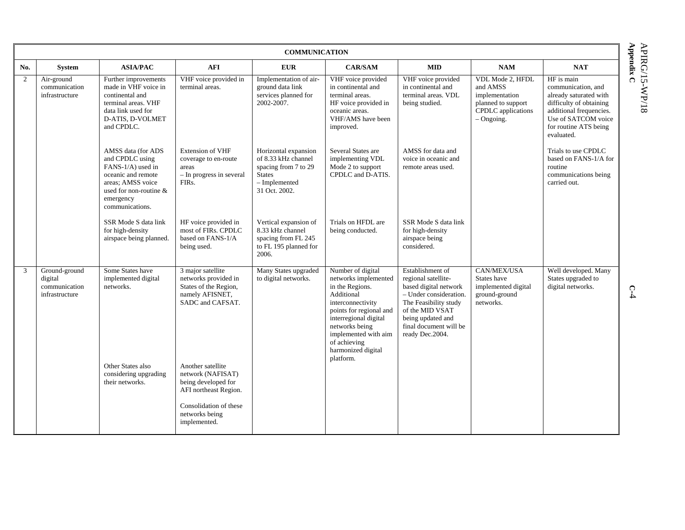|               | Appendix<br><b>COMMUNICATION</b>                            |                                                                                                                                                                 |                                                                                                                                                    |                                                                                                                        |                                                                                                                                                                                                                                                  |                                                                                                                                                                                                          |                                                                                                            |                                                                                                                                                                                |  |  |
|---------------|-------------------------------------------------------------|-----------------------------------------------------------------------------------------------------------------------------------------------------------------|----------------------------------------------------------------------------------------------------------------------------------------------------|------------------------------------------------------------------------------------------------------------------------|--------------------------------------------------------------------------------------------------------------------------------------------------------------------------------------------------------------------------------------------------|----------------------------------------------------------------------------------------------------------------------------------------------------------------------------------------------------------|------------------------------------------------------------------------------------------------------------|--------------------------------------------------------------------------------------------------------------------------------------------------------------------------------|--|--|
| No.           | System                                                      | <b>ASIA/PAC</b>                                                                                                                                                 | <b>AFI</b>                                                                                                                                         | <b>EUR</b>                                                                                                             | <b>CAR/SAM</b>                                                                                                                                                                                                                                   | <b>MID</b>                                                                                                                                                                                               | <b>NAM</b>                                                                                                 | <b>NAT</b>                                                                                                                                                                     |  |  |
| 2             | Air-ground<br>communication<br>infrastructure               | Further improvements<br>made in VHF voice in<br>continental and<br>terminal areas. VHF<br>data link used for<br>D-ATIS, D-VOLMET<br>and CPDLC.                  | VHF voice provided in<br>terminal areas.                                                                                                           | Implementation of air-<br>ground data link<br>services planned for<br>2002-2007.                                       | VHF voice provided<br>in continental and<br>terminal areas.<br>HF voice provided in<br>oceanic areas.<br>VHF/AMS have been<br>improved.                                                                                                          | VHF voice provided<br>in continental and<br>terminal areas. VDL<br>being studied.                                                                                                                        | VDL Mode 2, HFDL<br>and AMSS<br>implementation<br>planned to support<br>CPDLC applications<br>$-$ Ongoing. | HF is main<br>communication, and<br>already saturated with<br>difficulty of obtaining<br>additional frequencies.<br>Use of SATCOM voice<br>for routine ATS being<br>evaluated. |  |  |
|               |                                                             | AMSS data (for ADS<br>and CPDLC using<br>FANS-1/A) used in<br>oceanic and remote<br>areas; AMSS voice<br>used for non-routine &<br>emergency<br>communications. | <b>Extension of VHF</b><br>coverage to en-route<br>areas<br>- In progress in several<br>FIR <sub>s</sub> .                                         | Horizontal expansion<br>of 8.33 kHz channel<br>spacing from 7 to 29<br><b>States</b><br>- Implemented<br>31 Oct. 2002. | Several States are<br>implementing VDL<br>Mode 2 to support<br>CPDLC and D-ATIS.                                                                                                                                                                 | AMSS for data and<br>voice in oceanic and<br>remote areas used.                                                                                                                                          |                                                                                                            | Trials to use CPDLC<br>based on FANS-1/A for<br>routine<br>communications being<br>carried out.                                                                                |  |  |
|               |                                                             | SSR Mode S data link<br>for high-density<br>airspace being planned.                                                                                             | HF voice provided in<br>most of FIRs. CPDLC<br>based on FANS-1/A<br>being used.                                                                    | Vertical expansion of<br>8.33 kHz channel<br>spacing from FL 245<br>to FL 195 planned for<br>2006.                     | Trials on HFDL are<br>being conducted.                                                                                                                                                                                                           | SSR Mode S data link<br>for high-density<br>airspace being<br>considered.                                                                                                                                |                                                                                                            |                                                                                                                                                                                |  |  |
| $\mathcal{E}$ | Ground-ground<br>digital<br>communication<br>infrastructure | Some States have<br>implemented digital<br>networks.                                                                                                            | 3 major satellite<br>networks provided in<br>States of the Region,<br>namely AFISNET,<br>SADC and CAFSAT.                                          | Many States upgraded<br>to digital networks.                                                                           | Number of digital<br>networks implemented<br>in the Regions.<br>Additional<br>interconnectivity<br>points for regional and<br>interregional digital<br>networks being<br>implemented with aim<br>of achieving<br>harmonized digital<br>platform. | Establishment of<br>regional satellite-<br>based digital network<br>- Under consideration.<br>The Feasibility study<br>of the MID VSAT<br>being updated and<br>final document will be<br>ready Dec.2004. | CAN/MEX/USA<br>States have<br>implemented digital<br>ground-ground<br>networks.                            | Well developed. Many<br>States upgraded to<br>digital networks.                                                                                                                |  |  |
|               |                                                             | Other States also<br>considering upgrading<br>their networks.                                                                                                   | Another satellite<br>network (NAFISAT)<br>being developed for<br>AFI northeast Region.<br>Consolidation of these<br>networks being<br>implemented. |                                                                                                                        |                                                                                                                                                                                                                                                  |                                                                                                                                                                                                          |                                                                                                            |                                                                                                                                                                                |  |  |

**APIRG/15-WP/18** APIRG/15-WP/18 **ndix C** 

**C**-4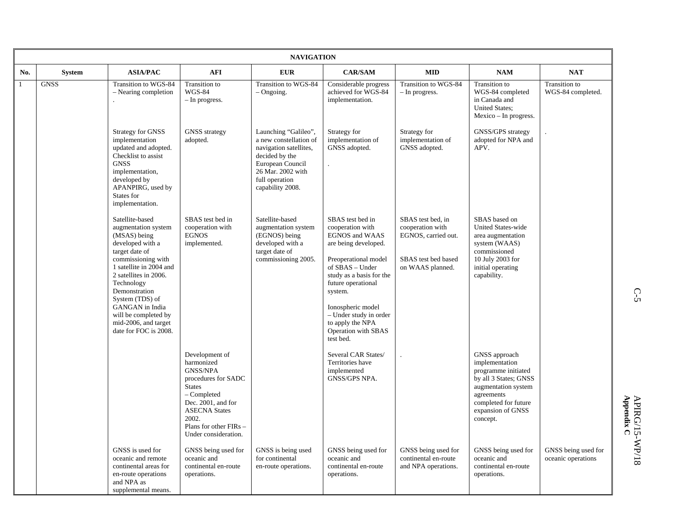|              |               |                                                                                                                                                                                                                                                                                                                      |                                                                                                                                                                                                                 | <b>NAVIGATION</b>                                                                                                                                                         |                                                                                                                                                                                                                                                                                               |                                                                                                         |                                                                                                                                                                               |                                           |
|--------------|---------------|----------------------------------------------------------------------------------------------------------------------------------------------------------------------------------------------------------------------------------------------------------------------------------------------------------------------|-----------------------------------------------------------------------------------------------------------------------------------------------------------------------------------------------------------------|---------------------------------------------------------------------------------------------------------------------------------------------------------------------------|-----------------------------------------------------------------------------------------------------------------------------------------------------------------------------------------------------------------------------------------------------------------------------------------------|---------------------------------------------------------------------------------------------------------|-------------------------------------------------------------------------------------------------------------------------------------------------------------------------------|-------------------------------------------|
| No.          | <b>System</b> | <b>ASIA/PAC</b>                                                                                                                                                                                                                                                                                                      | <b>AFI</b>                                                                                                                                                                                                      | <b>EUR</b>                                                                                                                                                                | <b>CAR/SAM</b>                                                                                                                                                                                                                                                                                | <b>MID</b>                                                                                              | <b>NAM</b>                                                                                                                                                                    | <b>NAT</b>                                |
| $\mathbf{1}$ | <b>GNSS</b>   | Transition to WGS-84<br>- Nearing completion                                                                                                                                                                                                                                                                         | Transition to<br><b>WGS-84</b><br>- In progress.                                                                                                                                                                | Transition to WGS-84<br>- Ongoing.                                                                                                                                        | Considerable progress<br>achieved for WGS-84<br>implementation.                                                                                                                                                                                                                               | Transition to WGS-84<br>- In progress.                                                                  | Transition to<br>WGS-84 completed<br>in Canada and<br><b>United States;</b><br>$Mexico$ – In progress.                                                                        | Transition to<br>WGS-84 completed.        |
|              |               | <b>Strategy for GNSS</b><br>implementation<br>updated and adopted.<br>Checklist to assist<br><b>GNSS</b><br>implementation,<br>developed by<br>APANPIRG, used by<br>States for<br>implementation.                                                                                                                    | <b>GNSS</b> strategy<br>adopted.                                                                                                                                                                                | Launching "Galileo",<br>a new constellation of<br>navigation satellites,<br>decided by the<br>European Council<br>26 Mar. 2002 with<br>full operation<br>capability 2008. | Strategy for<br>implementation of<br>GNSS adopted.                                                                                                                                                                                                                                            | Strategy for<br>implementation of<br>GNSS adopted.                                                      | GNSS/GPS strategy<br>adopted for NPA and<br>APV.                                                                                                                              |                                           |
|              |               | Satellite-based<br>augmentation system<br>(MSAS) being<br>developed with a<br>target date of<br>commissioning with<br>1 satellite in 2004 and<br>2 satellites in 2006.<br>Technology<br>Demonstration<br>System (TDS) of<br>GANGAN in India<br>will be completed by<br>mid-2006, and target<br>date for FOC is 2008. | SBAS test bed in<br>cooperation with<br><b>EGNOS</b><br>implemented.                                                                                                                                            | Satellite-based<br>augmentation system<br>(EGNOS) being<br>developed with a<br>target date of<br>commissioning 2005.                                                      | SBAS test bed in<br>cooperation with<br>EGNOS and WAAS<br>are being developed.<br>Preoperational model<br>of SBAS - Under<br>study as a basis for the<br>future operational<br>system.<br>Ionospheric model<br>- Under study in order<br>to apply the NPA<br>Operation with SBAS<br>test bed. | SBAS test bed. in<br>cooperation with<br>EGNOS, carried out.<br>SBAS test bed based<br>on WAAS planned. | SBAS based on<br><b>United States-wide</b><br>area augmentation<br>system (WAAS)<br>commissioned<br>10 July 2003 for<br>initial operating<br>capability.                      |                                           |
|              |               |                                                                                                                                                                                                                                                                                                                      | Development of<br>harmonized<br><b>GNSS/NPA</b><br>procedures for SADC<br><b>States</b><br>- Completed<br>Dec. 2001, and for<br><b>ASECNA States</b><br>2002.<br>Plans for other FIRs -<br>Under consideration. |                                                                                                                                                                           | Several CAR States/<br>Territories have<br>implemented<br>GNSS/GPS NPA.                                                                                                                                                                                                                       |                                                                                                         | GNSS approach<br>implementation<br>programme initiated<br>by all 3 States; GNSS<br>augmentation system<br>agreements<br>completed for future<br>expansion of GNSS<br>concept. |                                           |
|              |               | GNSS is used for<br>oceanic and remote<br>continental areas for<br>en-route operations<br>and NPA as<br>supplemental means.                                                                                                                                                                                          | GNSS being used for<br>oceanic and<br>continental en-route<br>operations.                                                                                                                                       | GNSS is being used<br>for continental<br>en-route operations.                                                                                                             | GNSS being used for<br>oceanic and<br>continental en-route<br>operations.                                                                                                                                                                                                                     | GNSS being used for<br>continental en-route<br>and NPA operations.                                      | GNSS being used for<br>oceanic and<br>continental en-route<br>operations.                                                                                                     | GNSS being used for<br>oceanic operations |

C-5<br>C-5  $C$ -5

**Appendix**  APIRG/15-WP/18 **C**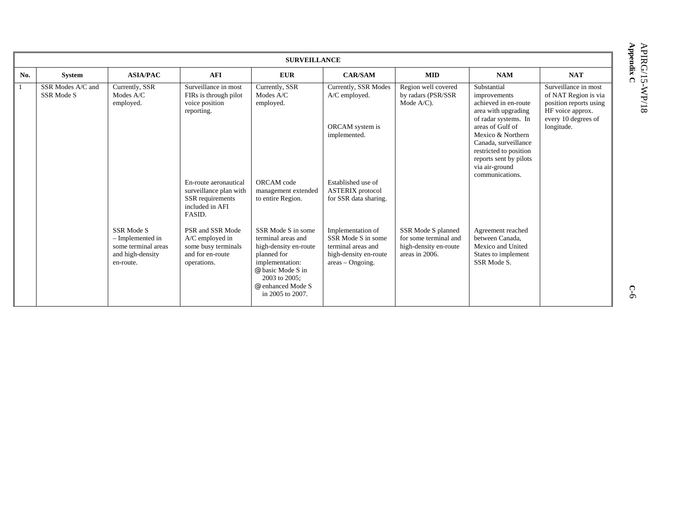|                |                                 |                                                                                        |                                                                                                  | <b>SURVEILLANCE</b>                                                                                                                                                                |                                                                                                              |                                                                                        |                                                                                                                                                        |                                                                                                                   |
|----------------|---------------------------------|----------------------------------------------------------------------------------------|--------------------------------------------------------------------------------------------------|------------------------------------------------------------------------------------------------------------------------------------------------------------------------------------|--------------------------------------------------------------------------------------------------------------|----------------------------------------------------------------------------------------|--------------------------------------------------------------------------------------------------------------------------------------------------------|-------------------------------------------------------------------------------------------------------------------|
| No.            | System                          | <b>ASIA/PAC</b>                                                                        | AFI                                                                                              | <b>EUR</b>                                                                                                                                                                         | <b>CAR/SAM</b>                                                                                               | <b>MID</b>                                                                             | <b>NAM</b>                                                                                                                                             | <b>NAT</b>                                                                                                        |
| $\overline{1}$ | SSR Modes A/C and<br>SSR Mode S | Currently, SSR<br>Modes A/C<br>employed.                                               | Surveillance in most<br>FIRs is through pilot<br>voice position<br>reporting.                    | Currently, SSR<br>Modes A/C<br>employed.                                                                                                                                           | Currently, SSR Modes<br>A/C employed.                                                                        | Region well covered<br>by radars (PSR/SSR<br>Mode A/C).                                | Substantial<br>improvements<br>achieved in en-route<br>area with upgrading<br>of radar systems. In                                                     | Surveillance in most<br>of NAT Region is via<br>position reports using<br>HF voice approx.<br>every 10 degrees of |
|                |                                 |                                                                                        |                                                                                                  |                                                                                                                                                                                    | ORCAM system is<br>implemented.                                                                              |                                                                                        | areas of Gulf of<br>Mexico & Northern<br>Canada, surveillance<br>restricted to position<br>reports sent by pilots<br>via air-ground<br>communications. | longitude.                                                                                                        |
|                |                                 |                                                                                        | En-route aeronautical<br>surveillance plan with<br>SSR requirements<br>included in AFI<br>FASID. | ORCAM code<br>management extended<br>to entire Region.                                                                                                                             | Established use of<br><b>ASTERIX</b> protocol<br>for SSR data sharing.                                       |                                                                                        |                                                                                                                                                        |                                                                                                                   |
|                |                                 | SSR Mode S<br>- Implemented in<br>some terminal areas<br>and high-density<br>en-route. | PSR and SSR Mode<br>$A/C$ employed in<br>some busy terminals<br>and for en-route<br>operations.  | SSR Mode S in some<br>terminal areas and<br>high-density en-route<br>planned for<br>implementation:<br>@ basic Mode S in<br>2003 to 2005;<br>@ enhanced Mode S<br>in 2005 to 2007. | Implementation of<br>SSR Mode S in some<br>terminal areas and<br>high-density en-route<br>$areas - Ongoing.$ | SSR Mode S planned<br>for some terminal and<br>high-density en-route<br>areas in 2006. | Agreement reached<br>between Canada.<br>Mexico and United<br>States to implement<br>SSR Mode S.                                                        |                                                                                                                   |

L

**Appe** APIRG/15-WP/18 **ndix C**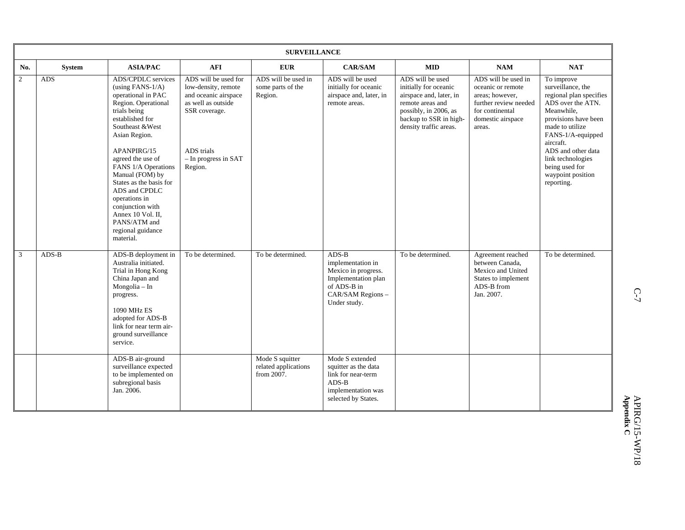|     |               |                                                                                                                                                                                                                                                                                                                                                                                                              |                                                                                                                                                               | <b>SURVEILLANCE</b>                                   |                                                                                                                                |                                                                                                                                                                       |                                                                                                                                        |                                                                                                                                                                                                                                                                            |
|-----|---------------|--------------------------------------------------------------------------------------------------------------------------------------------------------------------------------------------------------------------------------------------------------------------------------------------------------------------------------------------------------------------------------------------------------------|---------------------------------------------------------------------------------------------------------------------------------------------------------------|-------------------------------------------------------|--------------------------------------------------------------------------------------------------------------------------------|-----------------------------------------------------------------------------------------------------------------------------------------------------------------------|----------------------------------------------------------------------------------------------------------------------------------------|----------------------------------------------------------------------------------------------------------------------------------------------------------------------------------------------------------------------------------------------------------------------------|
| No. | <b>System</b> | <b>ASIA/PAC</b>                                                                                                                                                                                                                                                                                                                                                                                              | <b>AFI</b>                                                                                                                                                    | <b>EUR</b>                                            | <b>CAR/SAM</b>                                                                                                                 | <b>MID</b>                                                                                                                                                            | <b>NAM</b>                                                                                                                             | <b>NAT</b>                                                                                                                                                                                                                                                                 |
| 2   | ADS           | <b>ADS/CPDLC</b> services<br>(using FANS- $1/A$ )<br>operational in PAC<br>Region. Operational<br>trials being<br>established for<br>Southeast & West<br>Asian Region.<br>APANPIRG/15<br>agreed the use of<br>FANS 1/A Operations<br>Manual (FOM) by<br>States as the basis for<br>ADS and CPDLC<br>operations in<br>conjunction with<br>Annex 10 Vol. II,<br>PANS/ATM and<br>regional guidance<br>material. | ADS will be used for<br>low-density, remote<br>and oceanic airspace<br>as well as outside<br>SSR coverage.<br>ADS trials<br>$-$ In progress in SAT<br>Region. | ADS will be used in<br>some parts of the<br>Region.   | ADS will be used<br>initially for oceanic<br>airspace and, later, in<br>remote areas.                                          | ADS will be used<br>initially for oceanic<br>airspace and, later, in<br>remote areas and<br>possibly, in 2006, as<br>backup to SSR in high-<br>density traffic areas. | ADS will be used in<br>oceanic or remote<br>areas; however,<br>further review needed<br>for continental<br>domestic airspace<br>areas. | To improve<br>surveillance, the<br>regional plan specifies<br>ADS over the ATN.<br>Meanwhile,<br>provisions have been<br>made to utilize<br>FANS-1/A-equipped<br>aircraft.<br>ADS and other data<br>link technologies<br>being used for<br>waypoint position<br>reporting. |
| 3   | $ADS-B$       | ADS-B deployment in<br>Australia initiated.<br>Trial in Hong Kong<br>China Japan and<br>Mongolia - In<br>progress.<br>1090 MHz ES<br>adopted for ADS-B<br>link for near term air-<br>ground surveillance<br>service.                                                                                                                                                                                         | To be determined.                                                                                                                                             | To be determined.                                     | $ADS-B$<br>implementation in<br>Mexico in progress.<br>Implementation plan<br>of ADS-B in<br>CAR/SAM Regions -<br>Under study. | To be determined.                                                                                                                                                     | Agreement reached<br>between Canada,<br>Mexico and United<br>States to implement<br>ADS-B from<br>Jan. 2007.                           | To be determined.                                                                                                                                                                                                                                                          |
|     |               | ADS-B air-ground<br>surveillance expected<br>to be implemented on<br>subregional basis<br>Jan. 2006.                                                                                                                                                                                                                                                                                                         |                                                                                                                                                               | Mode S squitter<br>related applications<br>from 2007. | Mode S extended<br>squitter as the data<br>link for near-term<br>$ADS-B$<br>implementation was<br>selected by States.          |                                                                                                                                                                       |                                                                                                                                        |                                                                                                                                                                                                                                                                            |

**Appendix**  APIRG/15-WP/18 **C**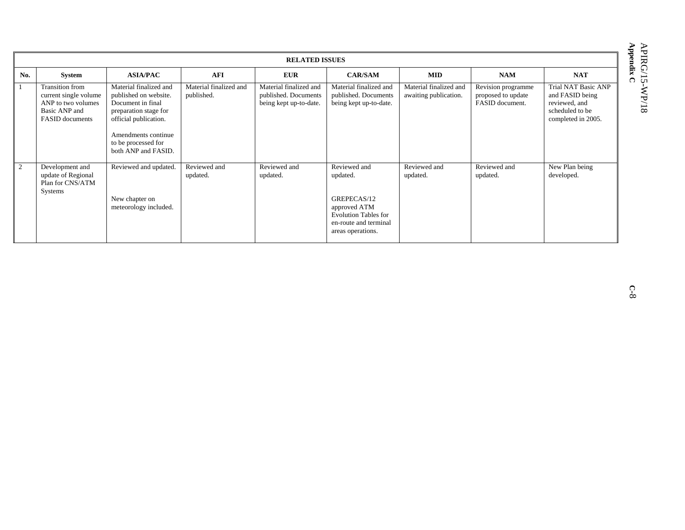|              |                                                                                                           |                                                                                                                                                                                             |                                      | <b>RELATED ISSUES</b>                                                    |                                                                                                                                      |                                                 |                                                             |                                                                                                  |
|--------------|-----------------------------------------------------------------------------------------------------------|---------------------------------------------------------------------------------------------------------------------------------------------------------------------------------------------|--------------------------------------|--------------------------------------------------------------------------|--------------------------------------------------------------------------------------------------------------------------------------|-------------------------------------------------|-------------------------------------------------------------|--------------------------------------------------------------------------------------------------|
| No.          | <b>System</b>                                                                                             | <b>ASIA/PAC</b>                                                                                                                                                                             | <b>AFI</b>                           | <b>EUR</b>                                                               | <b>CAR/SAM</b>                                                                                                                       | <b>MID</b>                                      | <b>NAM</b>                                                  | <b>NAT</b>                                                                                       |
| $\mathbf{1}$ | Transition from<br>current single volume<br>ANP to two volumes<br>Basic ANP and<br><b>FASID</b> documents | Material finalized and<br>published on website.<br>Document in final<br>preparation stage for<br>official publication.<br>Amendments continue<br>to be processed for<br>both ANP and FASID. | Material finalized and<br>published. | Material finalized and<br>published. Documents<br>being kept up-to-date. | Material finalized and<br>published. Documents<br>being kept up-to-date.                                                             | Material finalized and<br>awaiting publication. | Revision programme<br>proposed to update<br>FASID document. | Trial NAT Basic ANP<br>and FASID being<br>reviewed, and<br>scheduled to be<br>completed in 2005. |
| $\sqrt{2}$   | Development and<br>update of Regional<br>Plan for CNS/ATM<br>Systems                                      | Reviewed and updated.<br>New chapter on<br>meteorology included.                                                                                                                            | Reviewed and<br>updated.             | Reviewed and<br>updated.                                                 | Reviewed and<br>updated.<br>GREPECAS/12<br>approved ATM<br><b>Evolution Tables for</b><br>en-route and terminal<br>areas operations. | Reviewed and<br>updated.                        | Reviewed and<br>updated.                                    | New Plan being<br>developed.                                                                     |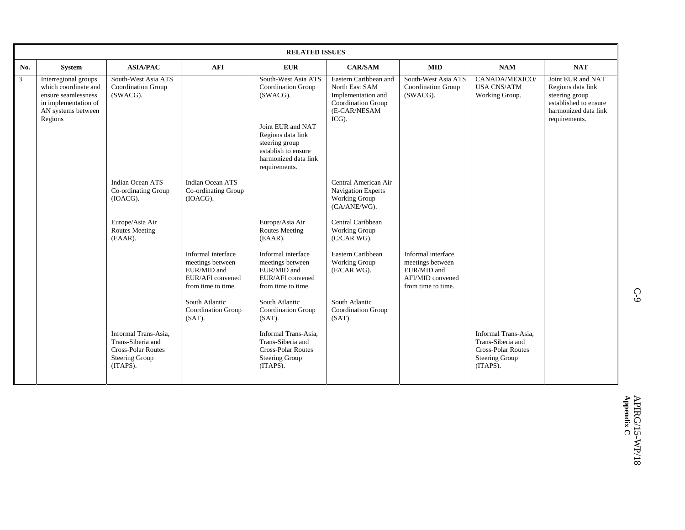|                |                                                                                                                              |                                                                                                             |                                                                                                 | <b>RELATED ISSUES</b>                                                                                                    |                                                                                                                 |                                                                                                 |                                                                                                                |                                                                                                                            |
|----------------|------------------------------------------------------------------------------------------------------------------------------|-------------------------------------------------------------------------------------------------------------|-------------------------------------------------------------------------------------------------|--------------------------------------------------------------------------------------------------------------------------|-----------------------------------------------------------------------------------------------------------------|-------------------------------------------------------------------------------------------------|----------------------------------------------------------------------------------------------------------------|----------------------------------------------------------------------------------------------------------------------------|
| No.            | <b>System</b>                                                                                                                | <b>ASIA/PAC</b>                                                                                             | <b>AFI</b>                                                                                      | <b>EUR</b>                                                                                                               | <b>CAR/SAM</b>                                                                                                  | <b>MID</b>                                                                                      | <b>NAM</b>                                                                                                     | <b>NAT</b>                                                                                                                 |
| $\mathfrak{Z}$ | Interregional groups<br>which coordinate and<br>ensure seamlessness<br>in implementation of<br>AN systems between<br>Regions | South-West Asia ATS<br><b>Coordination Group</b><br>(SWACG).                                                |                                                                                                 | South-West Asia ATS<br><b>Coordination Group</b><br>(SWACG).                                                             | Eastern Caribbean and<br>North East SAM<br>Implementation and<br>Coordination Group<br>(E-CAR/NESAM<br>$ICG$ ). | South-West Asia ATS<br>Coordination Group<br>(SWACG).                                           | CANADA/MEXICO/<br><b>USA CNS/ATM</b><br>Working Group.                                                         | Joint EUR and NAT<br>Regions data link<br>steering group<br>established to ensure<br>harmonized data link<br>requirements. |
|                |                                                                                                                              |                                                                                                             |                                                                                                 | Joint EUR and NAT<br>Regions data link<br>steering group<br>establish to ensure<br>harmonized data link<br>requirements. |                                                                                                                 |                                                                                                 |                                                                                                                |                                                                                                                            |
|                |                                                                                                                              | <b>Indian Ocean ATS</b><br>Co-ordinating Group<br>(IOACG).                                                  | Indian Ocean ATS<br>Co-ordinating Group<br>(IOACG).                                             |                                                                                                                          | Central American Air<br><b>Navigation Experts</b><br><b>Working Group</b><br>(CA/ANE/WG).                       |                                                                                                 |                                                                                                                |                                                                                                                            |
|                |                                                                                                                              | Europe/Asia Air<br><b>Routes Meeting</b><br>$(EAAR)$ .                                                      |                                                                                                 | Europe/Asia Air<br><b>Routes Meeting</b><br>$(EAAR)$ .                                                                   | Central Caribbean<br>Working Group<br>(C/CAR WG).                                                               |                                                                                                 |                                                                                                                |                                                                                                                            |
|                |                                                                                                                              |                                                                                                             | Informal interface<br>meetings between<br>EUR/MID and<br>EUR/AFI convened<br>from time to time. | Informal interface<br>meetings between<br>EUR/MID and<br>EUR/AFI convened<br>from time to time.                          | Eastern Caribbean<br><b>Working Group</b><br>(E/CAR WG).                                                        | Informal interface<br>meetings between<br>EUR/MID and<br>AFI/MID convened<br>from time to time. |                                                                                                                |                                                                                                                            |
|                |                                                                                                                              |                                                                                                             | South Atlantic<br>Coordination Group<br>$(SAT)$ .                                               | South Atlantic<br><b>Coordination Group</b><br>$(SAT)$ .                                                                 | South Atlantic<br>Coordination Group<br>$(SAT)$ .                                                               |                                                                                                 |                                                                                                                |                                                                                                                            |
|                |                                                                                                                              | Informal Trans-Asia,<br>Trans-Siberia and<br><b>Cross-Polar Routes</b><br><b>Steering Group</b><br>(ITAPS). |                                                                                                 | Informal Trans-Asia,<br>Trans-Siberia and<br><b>Cross-Polar Routes</b><br><b>Steering Group</b><br>(ITAPS).              |                                                                                                                 |                                                                                                 | Informal Trans-Asia,<br>Trans-Siberia and<br><b>Cross-Polar Routes</b><br><b>Steering Group</b><br>$(ITAPS)$ . |                                                                                                                            |

C-9 (1)  $C$ -9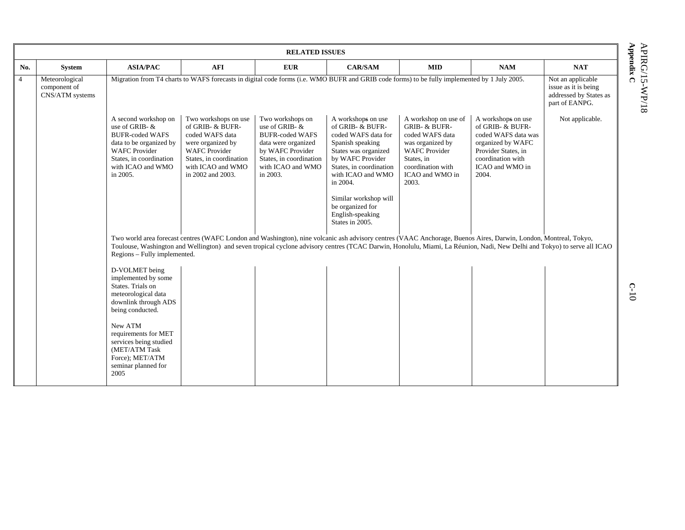**Appe** APIRG/15-WP/18 **ndix C** 

|                |                                                   |                                                                                                                                                                                 |                                                                                                                                                                                                                                                                                                                                              | <b>RELATED ISSUES</b>                                                                                                                                               |                                                                                                                                                                                                                                                                               |                                                                                                                                                                                |                                                                                                                                                            |                                                                                       |
|----------------|---------------------------------------------------|---------------------------------------------------------------------------------------------------------------------------------------------------------------------------------|----------------------------------------------------------------------------------------------------------------------------------------------------------------------------------------------------------------------------------------------------------------------------------------------------------------------------------------------|---------------------------------------------------------------------------------------------------------------------------------------------------------------------|-------------------------------------------------------------------------------------------------------------------------------------------------------------------------------------------------------------------------------------------------------------------------------|--------------------------------------------------------------------------------------------------------------------------------------------------------------------------------|------------------------------------------------------------------------------------------------------------------------------------------------------------|---------------------------------------------------------------------------------------|
| No.            | System                                            | <b>ASIA/PAC</b>                                                                                                                                                                 | <b>AFI</b>                                                                                                                                                                                                                                                                                                                                   | <b>EUR</b>                                                                                                                                                          | <b>CAR/SAM</b>                                                                                                                                                                                                                                                                | <b>MID</b>                                                                                                                                                                     | <b>NAM</b>                                                                                                                                                 | <b>NAT</b>                                                                            |
| $\overline{4}$ | Meteorological<br>component of<br>CNS/ATM systems |                                                                                                                                                                                 | Migration from T4 charts to WAFS forecasts in digital code forms (i.e. WMO BUFR and GRIB code forms) to be fully implemented by 1 July 2005.                                                                                                                                                                                                 |                                                                                                                                                                     |                                                                                                                                                                                                                                                                               |                                                                                                                                                                                |                                                                                                                                                            | Not an applicable<br>issue as it is being<br>addressed by States as<br>part of EANPG. |
|                |                                                   | A second workshop on<br>use of GRIB- &<br><b>BUFR-coded WAFS</b><br>data to be organized by<br><b>WAFC Provider</b><br>States, in coordination<br>with ICAO and WMO<br>in 2005. | Two workshops on use<br>of GRIB- & BUFR-<br>coded WAFS data<br>were organized by<br><b>WAFC Provider</b><br>States, in coordination<br>with ICAO and WMO<br>in 2002 and 2003.                                                                                                                                                                | Two workshops on<br>use of GRIB- &<br><b>BUFR-coded WAFS</b><br>data were organized<br>by WAFC Provider<br>States, in coordination<br>with ICAO and WMO<br>in 2003. | A workshops on use<br>of GRIB- & BUFR-<br>coded WAFS data for<br>Spanish speaking<br>States was organized<br>by WAFC Provider<br>States, in coordination<br>with ICAO and WMO<br>in 2004.<br>Similar workshop will<br>be organized for<br>English-speaking<br>States in 2005. | A workshop on use of<br><b>GRIB- &amp; BUFR-</b><br>coded WAFS data<br>was organized by<br><b>WAFC Provider</b><br>States, in<br>coordination with<br>ICAO and WMO in<br>2003. | A workshops on use<br>of GRIB- & BUFR-<br>coded WAFS data was<br>organized by WAFC<br>Provider States, in<br>coordination with<br>ICAO and WMO in<br>2004. | Not applicable.                                                                       |
|                |                                                   | Regions - Fully implemented.                                                                                                                                                    | Two world area forecast centres (WAFC London and Washington), nine volcanic ash advisory centres (VAAC Anchorage, Buenos Aires, Darwin, London, Montreal, Tokyo,<br>Toulouse, Washington and Wellington) and seven tropical cyclone advisory centres (TCAC Darwin, Honolulu, Miami, La Réunion, Nadi, New Delhi and Tokyo) to serve all ICAO |                                                                                                                                                                     |                                                                                                                                                                                                                                                                               |                                                                                                                                                                                |                                                                                                                                                            |                                                                                       |
|                |                                                   | D-VOLMET being<br>implemented by some<br>States. Trials on<br>meteorological data<br>downlink through ADS<br>being conducted.<br>New ATM                                        |                                                                                                                                                                                                                                                                                                                                              |                                                                                                                                                                     |                                                                                                                                                                                                                                                                               |                                                                                                                                                                                |                                                                                                                                                            |                                                                                       |
|                |                                                   | requirements for MET<br>services being studied<br>(MET/ATM Task<br>Force); MET/ATM<br>seminar planned for<br>2005                                                               |                                                                                                                                                                                                                                                                                                                                              |                                                                                                                                                                     |                                                                                                                                                                                                                                                                               |                                                                                                                                                                                |                                                                                                                                                            |                                                                                       |

4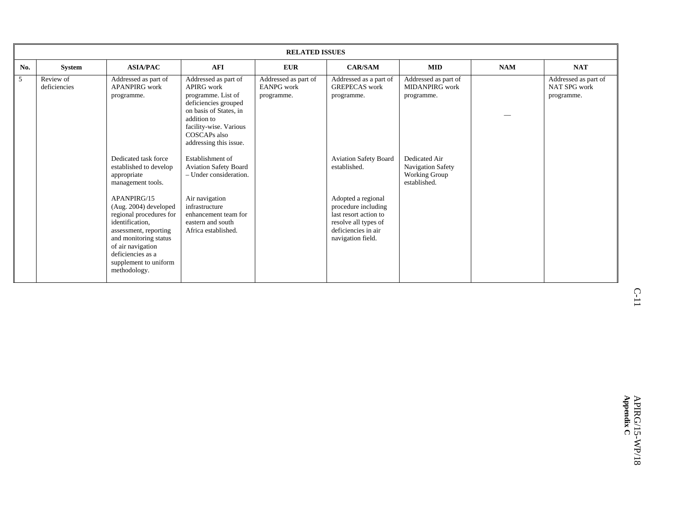|     |                           |                                                                                                                                                                                                                                                                                                                                                                             |                                                                                                                                                                                                                                                                                                                                                                                     | <b>RELATED ISSUES</b>                                   |                                                                                                                                                                                                                                                        |                                                                                                                             |            |                                                    |
|-----|---------------------------|-----------------------------------------------------------------------------------------------------------------------------------------------------------------------------------------------------------------------------------------------------------------------------------------------------------------------------------------------------------------------------|-------------------------------------------------------------------------------------------------------------------------------------------------------------------------------------------------------------------------------------------------------------------------------------------------------------------------------------------------------------------------------------|---------------------------------------------------------|--------------------------------------------------------------------------------------------------------------------------------------------------------------------------------------------------------------------------------------------------------|-----------------------------------------------------------------------------------------------------------------------------|------------|----------------------------------------------------|
| No. | System                    | <b>ASIA/PAC</b>                                                                                                                                                                                                                                                                                                                                                             | <b>AFI</b>                                                                                                                                                                                                                                                                                                                                                                          | <b>EUR</b>                                              | <b>CAR/SAM</b>                                                                                                                                                                                                                                         | <b>MID</b>                                                                                                                  | <b>NAM</b> | <b>NAT</b>                                         |
| 5   | Review of<br>deficiencies | Addressed as part of<br><b>APANPIRG</b> work<br>programme.<br>Dedicated task force<br>established to develop<br>appropriate<br>management tools.<br>APANPIRG/15<br>(Aug. 2004) developed<br>regional procedures for<br>identification,<br>assessment, reporting<br>and monitoring status<br>of air navigation<br>deficiencies as a<br>supplement to uniform<br>methodology. | Addressed as part of<br>APIRG work<br>programme. List of<br>deficiencies grouped<br>on basis of States, in<br>addition to<br>facility-wise. Various<br>COSCAPs also<br>addressing this issue.<br>Establishment of<br><b>Aviation Safety Board</b><br>- Under consideration.<br>Air navigation<br>infrastructure<br>enhancement team for<br>eastern and south<br>Africa established. | Addressed as part of<br><b>EANPG</b> work<br>programme. | Addressed as a part of<br><b>GREPECAS</b> work<br>programme.<br><b>Aviation Safety Board</b><br>established.<br>Adopted a regional<br>procedure including<br>last resort action to<br>resolve all types of<br>deficiencies in air<br>navigation field. | Addressed as part of<br>MIDANPIRG work<br>programme.<br>Dedicated Air<br>Navigation Safety<br>Working Group<br>established. |            | Addressed as part of<br>NAT SPG work<br>programme. |

 C-11  $C-11$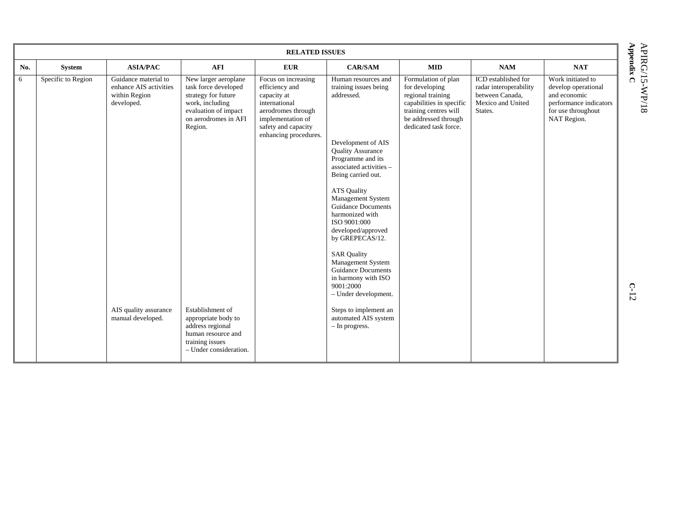|     |                    |                                                                               |                                                                                                                                                   | <b>RELATED ISSUES</b>                                                                                                                                            |                                                                                                                                                                                                                                                                                                                     |                                                                                                                                                                  |                                                                                                  |                                                                                                                         |          |
|-----|--------------------|-------------------------------------------------------------------------------|---------------------------------------------------------------------------------------------------------------------------------------------------|------------------------------------------------------------------------------------------------------------------------------------------------------------------|---------------------------------------------------------------------------------------------------------------------------------------------------------------------------------------------------------------------------------------------------------------------------------------------------------------------|------------------------------------------------------------------------------------------------------------------------------------------------------------------|--------------------------------------------------------------------------------------------------|-------------------------------------------------------------------------------------------------------------------------|----------|
| No. | System             | <b>ASIA/PAC</b>                                                               | <b>AFI</b>                                                                                                                                        | <b>EUR</b>                                                                                                                                                       | <b>CAR/SAM</b>                                                                                                                                                                                                                                                                                                      | <b>MID</b>                                                                                                                                                       | <b>NAM</b>                                                                                       | <b>NAT</b>                                                                                                              | Appendix |
| 6   | Specific to Region | Guidance material to<br>enhance AIS activities<br>within Region<br>developed. | New larger aeroplane<br>task force developed<br>strategy for future<br>work, including<br>evaluation of impact<br>on aerodromes in AFI<br>Region. | Focus on increasing<br>efficiency and<br>capacity at<br>international<br>aerodromes through<br>implementation of<br>safety and capacity<br>enhancing procedures. | Human resources and<br>training issues being<br>addressed.<br>Development of AIS<br><b>Quality Assurance</b><br>Programme and its<br>associated activities -<br>Being carried out.<br><b>ATS Quality</b><br>Management System<br><b>Guidance Documents</b><br>harmonized with<br>ISO 9001:000<br>developed/approved | Formulation of plan<br>for developing<br>regional training<br>capabilities in specific<br>training centres will<br>be addressed through<br>dedicated task force. | ICD established for<br>radar interoperability<br>between Canada,<br>Mexico and United<br>States. | Work initiated to<br>develop operational<br>and economic<br>performance indicators<br>for use throughout<br>NAT Region. | $\Omega$ |
|     |                    | AIS quality assurance<br>manual developed.                                    | Establishment of<br>appropriate body to<br>address regional<br>human resource and<br>training issues<br>- Under consideration.                    |                                                                                                                                                                  | by GREPECAS/12.<br><b>SAR Quality</b><br>Management System<br><b>Guidance Documents</b><br>in harmony with ISO<br>9001:2000<br>- Under development.<br>Steps to implement an<br>automated AIS system<br>- In progress.                                                                                              |                                                                                                                                                                  |                                                                                                  |                                                                                                                         | $C-12$   |

APIRG/15-WP/18 APIRG/15-WP/18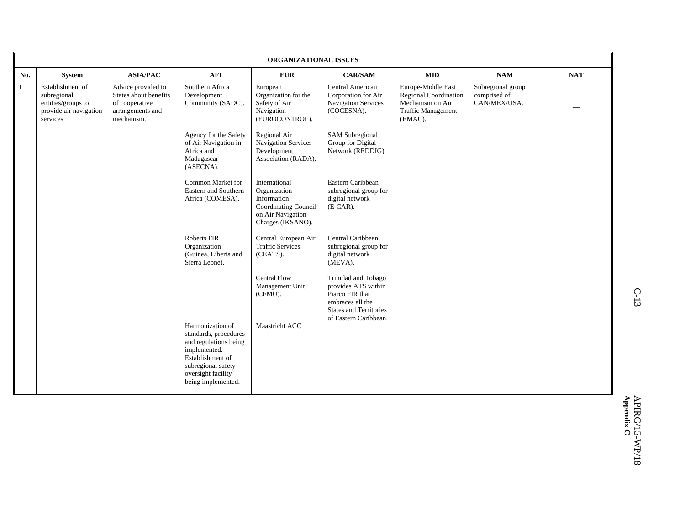|     |                                                                                             |                                                                                                 |                                                                                                                                                                          | ORGANIZATIONAL ISSUES                                                                                          |                                                                                                                                             |                                                                                                         |                                                   |            |
|-----|---------------------------------------------------------------------------------------------|-------------------------------------------------------------------------------------------------|--------------------------------------------------------------------------------------------------------------------------------------------------------------------------|----------------------------------------------------------------------------------------------------------------|---------------------------------------------------------------------------------------------------------------------------------------------|---------------------------------------------------------------------------------------------------------|---------------------------------------------------|------------|
| No. | <b>System</b>                                                                               | <b>ASIA/PAC</b>                                                                                 | <b>AFI</b>                                                                                                                                                               | <b>EUR</b>                                                                                                     | <b>CAR/SAM</b>                                                                                                                              | <b>MID</b>                                                                                              | <b>NAM</b>                                        | <b>NAT</b> |
|     | Establishment of<br>subregional<br>entities/groups to<br>provide air navigation<br>services | Advice provided to<br>States about benefits<br>of cooperative<br>arrangements and<br>mechanism. | Southern Africa<br>Development<br>Community (SADC).                                                                                                                      | European<br>Organization for the<br>Safety of Air<br>Navigation<br>(EUROCONTROL).                              | <b>Central American</b><br>Corporation for Air<br><b>Navigation Services</b><br>(COCESNA).                                                  | Europe-Middle East<br><b>Regional Coordination</b><br>Mechanism on Air<br>Traffic Management<br>(EMAC). | Subregional group<br>comprised of<br>CAN/MEX/USA. |            |
|     |                                                                                             |                                                                                                 | Agency for the Safety<br>of Air Navigation in<br>Africa and<br>Madagascar<br>(ASECNA).                                                                                   | Regional Air<br>Navigation Services<br>Development<br>Association (RADA).                                      | <b>SAM</b> Subregional<br>Group for Digital<br>Network (REDDIG).                                                                            |                                                                                                         |                                                   |            |
|     |                                                                                             |                                                                                                 | Common Market for<br>Eastern and Southern<br>Africa (COMESA).                                                                                                            | International<br>Organization<br>Information<br>Coordinating Council<br>on Air Navigation<br>Charges (IKSANO). | Eastern Caribbean<br>subregional group for<br>digital network<br>$(E-CAR)$ .                                                                |                                                                                                         |                                                   |            |
|     |                                                                                             |                                                                                                 | Roberts FIR<br>Organization<br>(Guinea, Liberia and<br>Sierra Leone).                                                                                                    | Central European Air<br><b>Traffic Services</b><br>(CEATS).                                                    | Central Caribbean<br>subregional group for<br>digital network<br>(MEVA).                                                                    |                                                                                                         |                                                   |            |
|     |                                                                                             |                                                                                                 |                                                                                                                                                                          | <b>Central Flow</b><br>Management Unit<br>(CFMU).                                                              | Trinidad and Tobago<br>provides ATS within<br>Piarco FIR that<br>embraces all the<br><b>States and Territories</b><br>of Eastern Caribbean. |                                                                                                         |                                                   |            |
|     |                                                                                             |                                                                                                 | Harmonization of<br>standards, procedures<br>and regulations being<br>implemented.<br>Establishment of<br>subregional safety<br>oversight facility<br>being implemented. | Maastricht ACC                                                                                                 |                                                                                                                                             |                                                                                                         |                                                   |            |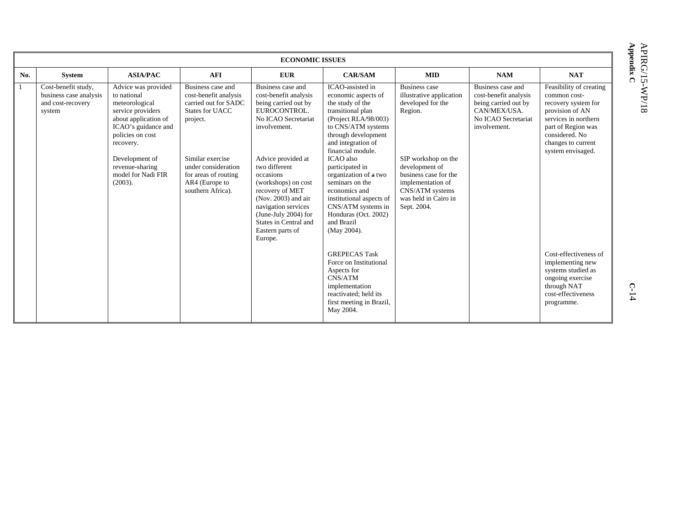| <b>ECONOMIC ISSUES</b> |                                                                              |                                                                                                                                                                                                                                 |                                                                                                                                                                                                             |                                                                                                                                                                                                                                                                                                                                                       |                                                                                                                                                                                                                                                                                                                                                                                                                                                                                                                                                                             |                                                                                                                                                                                                                                   |                                                                                                                           |                                                                                                                                                                                                                                                                                                                                        |  |  |
|------------------------|------------------------------------------------------------------------------|---------------------------------------------------------------------------------------------------------------------------------------------------------------------------------------------------------------------------------|-------------------------------------------------------------------------------------------------------------------------------------------------------------------------------------------------------------|-------------------------------------------------------------------------------------------------------------------------------------------------------------------------------------------------------------------------------------------------------------------------------------------------------------------------------------------------------|-----------------------------------------------------------------------------------------------------------------------------------------------------------------------------------------------------------------------------------------------------------------------------------------------------------------------------------------------------------------------------------------------------------------------------------------------------------------------------------------------------------------------------------------------------------------------------|-----------------------------------------------------------------------------------------------------------------------------------------------------------------------------------------------------------------------------------|---------------------------------------------------------------------------------------------------------------------------|----------------------------------------------------------------------------------------------------------------------------------------------------------------------------------------------------------------------------------------------------------------------------------------------------------------------------------------|--|--|
| No.                    | System                                                                       | <b>ASIA/PAC</b>                                                                                                                                                                                                                 | <b>AFI</b>                                                                                                                                                                                                  | <b>EUR</b>                                                                                                                                                                                                                                                                                                                                            | <b>CAR/SAM</b>                                                                                                                                                                                                                                                                                                                                                                                                                                                                                                                                                              | <b>MID</b>                                                                                                                                                                                                                        | <b>NAM</b>                                                                                                                | <b>NAT</b>                                                                                                                                                                                                                                                                                                                             |  |  |
|                        | Cost-benefit study,<br>business case analysis<br>and cost-recovery<br>system | Advice was provided<br>to national<br>meteorological<br>service providers<br>about application of<br>ICAO's guidance and<br>policies on cost<br>recovery.<br>Development of<br>revenue-sharing<br>model for Nadi FIR<br>(2003). | Business case and<br>cost-benefit analysis<br>carried out for SADC<br>States for UACC<br>project.<br>Similar exercise<br>under consideration<br>for areas of routing<br>AR4 (Europe to<br>southern Africa). | Business case and<br>cost-benefit analysis<br>being carried out by<br>EUROCONTROL.<br>No ICAO Secretariat<br>involvement.<br>Advice provided at<br>two different<br>occasions<br>(workshops) on cost<br>recovery of MET<br>(Nov. 2003) and air<br>navigation services<br>(June-July 2004) for<br>States in Central and<br>Eastern parts of<br>Europe. | ICAO-assisted in<br>economic aspects of<br>the study of the<br>transitional plan<br>(Project RLA/98/003)<br>to CNS/ATM systems<br>through development<br>and integration of<br>financial module.<br><b>ICAO</b> also<br>participated in<br>organization of a two<br>seminars on the<br>economics and<br>institutional aspects of<br>CNS/ATM systems in<br>Honduras (Oct. 2002)<br>and Brazil<br>(May 2004).<br><b>GREPECAS Task</b><br>Force on Institutional<br>Aspects for<br>CNS/ATM<br>implementation<br>reactivated; held its<br>first meeting in Brazil,<br>May 2004. | <b>Business case</b><br>illustrative application<br>developed for the<br>Region.<br>SIP workshop on the<br>development of<br>business case for the<br>implementation of<br>CNS/ATM systems<br>was held in Cairo in<br>Sept. 2004. | Business case and<br>cost-benefit analysis<br>being carried out by<br>CAN/MEX/USA.<br>No ICAO Secretariat<br>involvement. | Feasibility of creating<br>common cost-<br>recovery system for<br>provision of AN<br>services in northern<br>part of Region was<br>considered. No<br>changes to current<br>system envisaged.<br>Cost-effectiveness of<br>implementing new<br>systems studied as<br>ongoing exercise<br>through NAT<br>cost-effectiveness<br>programme. |  |  |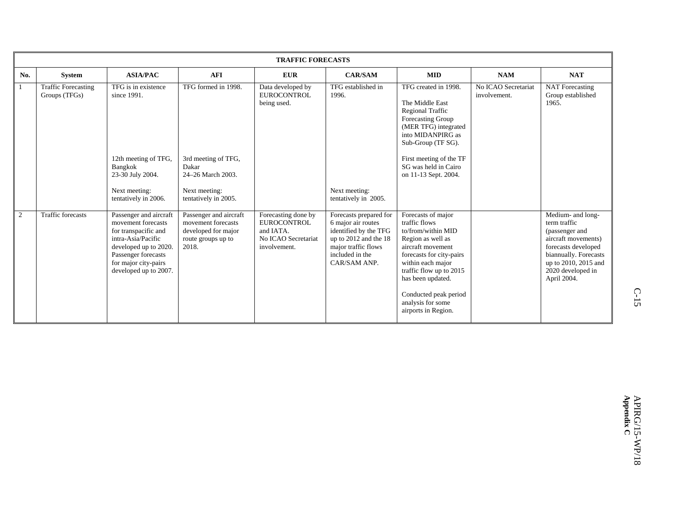|     | <b>TRAFFIC FORECASTS</b>                    |                                                                                                                                                                                             |                                                                                                    |                                                                                               |                                                                                                                                                            |                                                                                                                                                                                                                                                                           |                                     |                                                                                                                                                                                        |  |  |
|-----|---------------------------------------------|---------------------------------------------------------------------------------------------------------------------------------------------------------------------------------------------|----------------------------------------------------------------------------------------------------|-----------------------------------------------------------------------------------------------|------------------------------------------------------------------------------------------------------------------------------------------------------------|---------------------------------------------------------------------------------------------------------------------------------------------------------------------------------------------------------------------------------------------------------------------------|-------------------------------------|----------------------------------------------------------------------------------------------------------------------------------------------------------------------------------------|--|--|
| No. | System                                      | <b>ASIA/PAC</b>                                                                                                                                                                             | <b>AFI</b>                                                                                         | <b>EUR</b>                                                                                    | <b>CAR/SAM</b>                                                                                                                                             | <b>MID</b>                                                                                                                                                                                                                                                                | <b>NAM</b>                          | <b>NAT</b>                                                                                                                                                                             |  |  |
|     | <b>Traffic Forecasting</b><br>Groups (TFGs) | TFG is in existence<br>since 1991.                                                                                                                                                          | TFG formed in 1998.                                                                                | Data developed by<br><b>EUROCONTROL</b><br>being used.                                        | TFG established in<br>1996.                                                                                                                                | TFG created in 1998.<br>The Middle East<br>Regional Traffic<br>Forecasting Group<br>(MER TFG) integrated<br>into MIDANPIRG as<br>Sub-Group (TF SG).                                                                                                                       | No ICAO Secretariat<br>involvement. | <b>NAT</b> Forecasting<br>Group established<br>1965.                                                                                                                                   |  |  |
|     |                                             | 12th meeting of TFG,<br>Bangkok<br>23-30 July 2004.<br>Next meeting:<br>tentatively in 2006.                                                                                                | 3rd meeting of TFG,<br>Dakar<br>24-26 March 2003.<br>Next meeting:<br>tentatively in 2005.         |                                                                                               | Next meeting:<br>tentatively in 2005.                                                                                                                      | First meeting of the TF<br>SG was held in Cairo<br>on 11-13 Sept. 2004.                                                                                                                                                                                                   |                                     |                                                                                                                                                                                        |  |  |
| 2   | <b>Traffic forecasts</b>                    | Passenger and aircraft<br>movement forecasts<br>for transpacific and<br>intra-Asia/Pacific<br>developed up to 2020.<br>Passenger forecasts<br>for major city-pairs<br>developed up to 2007. | Passenger and aircraft<br>movement forecasts<br>developed for major<br>route groups up to<br>2018. | Forecasting done by<br><b>EUROCONTROL</b><br>and IATA.<br>No ICAO Secretariat<br>involvement. | Forecasts prepared for<br>6 major air routes<br>identified by the TFG<br>up to $2012$ and the 18<br>major traffic flows<br>included in the<br>CAR/SAM ANP. | Forecasts of major<br>traffic flows<br>to/from/within MID<br>Region as well as<br>aircraft movement<br>forecasts for city-pairs<br>within each major<br>traffic flow up to 2015<br>has been updated.<br>Conducted peak period<br>analysis for some<br>airports in Region. |                                     | Medium- and long-<br>term traffic<br>(passenger and<br>aircraft movements)<br>forecasts developed<br>biannually. Forecasts<br>up to 2010, 2015 and<br>2020 developed in<br>April 2004. |  |  |